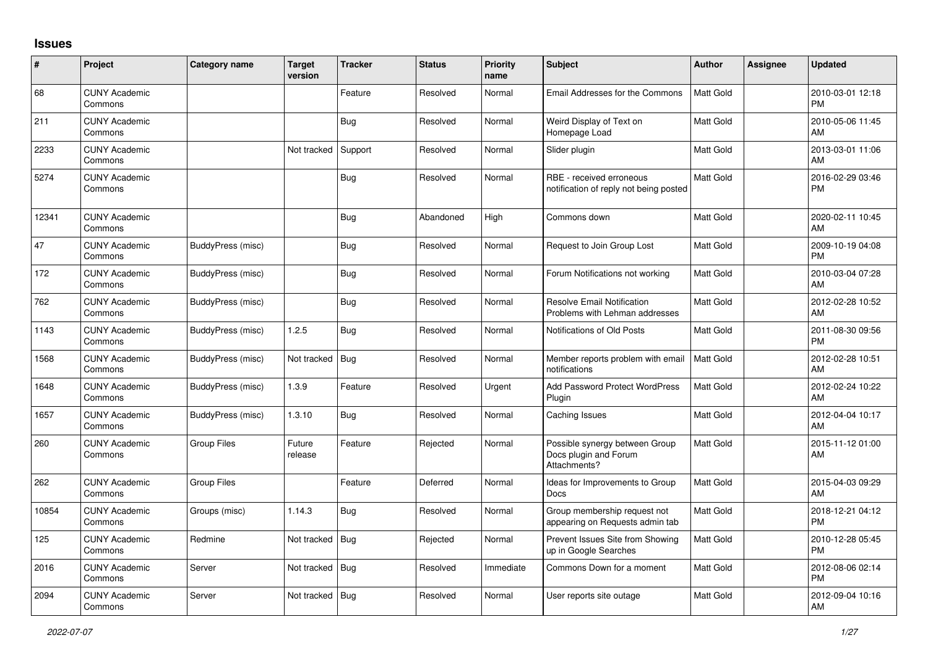## **Issues**

| #     | Project                         | Category name      | <b>Target</b><br>version | <b>Tracker</b> | <b>Status</b> | <b>Priority</b><br>name | <b>Subject</b>                                                          | Author           | <b>Assignee</b> | <b>Updated</b>                |
|-------|---------------------------------|--------------------|--------------------------|----------------|---------------|-------------------------|-------------------------------------------------------------------------|------------------|-----------------|-------------------------------|
| 68    | <b>CUNY Academic</b><br>Commons |                    |                          | Feature        | Resolved      | Normal                  | Email Addresses for the Commons                                         | <b>Matt Gold</b> |                 | 2010-03-01 12:18<br><b>PM</b> |
| 211   | <b>CUNY Academic</b><br>Commons |                    |                          | Bug            | Resolved      | Normal                  | Weird Display of Text on<br>Homepage Load                               | <b>Matt Gold</b> |                 | 2010-05-06 11:45<br>AM        |
| 2233  | <b>CUNY Academic</b><br>Commons |                    | Not tracked              | Support        | Resolved      | Normal                  | Slider plugin                                                           | <b>Matt Gold</b> |                 | 2013-03-01 11:06<br>AM        |
| 5274  | <b>CUNY Academic</b><br>Commons |                    |                          | <b>Bug</b>     | Resolved      | Normal                  | RBE - received erroneous<br>notification of reply not being posted      | <b>Matt Gold</b> |                 | 2016-02-29 03:46<br><b>PM</b> |
| 12341 | <b>CUNY Academic</b><br>Commons |                    |                          | Bug            | Abandoned     | High                    | Commons down                                                            | <b>Matt Gold</b> |                 | 2020-02-11 10:45<br>AM        |
| 47    | <b>CUNY Academic</b><br>Commons | BuddyPress (misc)  |                          | <b>Bug</b>     | Resolved      | Normal                  | Request to Join Group Lost                                              | <b>Matt Gold</b> |                 | 2009-10-19 04:08<br><b>PM</b> |
| 172   | <b>CUNY Academic</b><br>Commons | BuddyPress (misc)  |                          | Bug            | Resolved      | Normal                  | Forum Notifications not working                                         | <b>Matt Gold</b> |                 | 2010-03-04 07:28<br>AM        |
| 762   | <b>CUNY Academic</b><br>Commons | BuddyPress (misc)  |                          | <b>Bug</b>     | Resolved      | Normal                  | <b>Resolve Email Notification</b><br>Problems with Lehman addresses     | Matt Gold        |                 | 2012-02-28 10:52<br>AM        |
| 1143  | <b>CUNY Academic</b><br>Commons | BuddyPress (misc)  | 1.2.5                    | Bug            | Resolved      | Normal                  | Notifications of Old Posts                                              | <b>Matt Gold</b> |                 | 2011-08-30 09:56<br><b>PM</b> |
| 1568  | <b>CUNY Academic</b><br>Commons | BuddyPress (misc)  | Not tracked              | Bug            | Resolved      | Normal                  | Member reports problem with email<br>notifications                      | <b>Matt Gold</b> |                 | 2012-02-28 10:51<br>AM        |
| 1648  | <b>CUNY Academic</b><br>Commons | BuddyPress (misc)  | 1.3.9                    | Feature        | Resolved      | Urgent                  | Add Password Protect WordPress<br>Plugin                                | <b>Matt Gold</b> |                 | 2012-02-24 10:22<br>AM        |
| 1657  | <b>CUNY Academic</b><br>Commons | BuddyPress (misc)  | 1.3.10                   | <b>Bug</b>     | Resolved      | Normal                  | Caching Issues                                                          | <b>Matt Gold</b> |                 | 2012-04-04 10:17<br>AM        |
| 260   | <b>CUNY Academic</b><br>Commons | <b>Group Files</b> | Future<br>release        | Feature        | Rejected      | Normal                  | Possible synergy between Group<br>Docs plugin and Forum<br>Attachments? | <b>Matt Gold</b> |                 | 2015-11-12 01:00<br>AM        |
| 262   | <b>CUNY Academic</b><br>Commons | Group Files        |                          | Feature        | Deferred      | Normal                  | Ideas for Improvements to Group<br><b>Docs</b>                          | <b>Matt Gold</b> |                 | 2015-04-03 09:29<br>AM        |
| 10854 | <b>CUNY Academic</b><br>Commons | Groups (misc)      | 1.14.3                   | <b>Bug</b>     | Resolved      | Normal                  | Group membership request not<br>appearing on Requests admin tab         | <b>Matt Gold</b> |                 | 2018-12-21 04:12<br><b>PM</b> |
| 125   | <b>CUNY Academic</b><br>Commons | Redmine            | Not tracked              | Bug            | Rejected      | Normal                  | Prevent Issues Site from Showing<br>up in Google Searches               | <b>Matt Gold</b> |                 | 2010-12-28 05:45<br><b>PM</b> |
| 2016  | <b>CUNY Academic</b><br>Commons | Server             | Not tracked              | Bug            | Resolved      | Immediate               | Commons Down for a moment                                               | <b>Matt Gold</b> |                 | 2012-08-06 02:14<br><b>PM</b> |
| 2094  | <b>CUNY Academic</b><br>Commons | Server             | Not tracked              | Bug            | Resolved      | Normal                  | User reports site outage                                                | Matt Gold        |                 | 2012-09-04 10:16<br>AM        |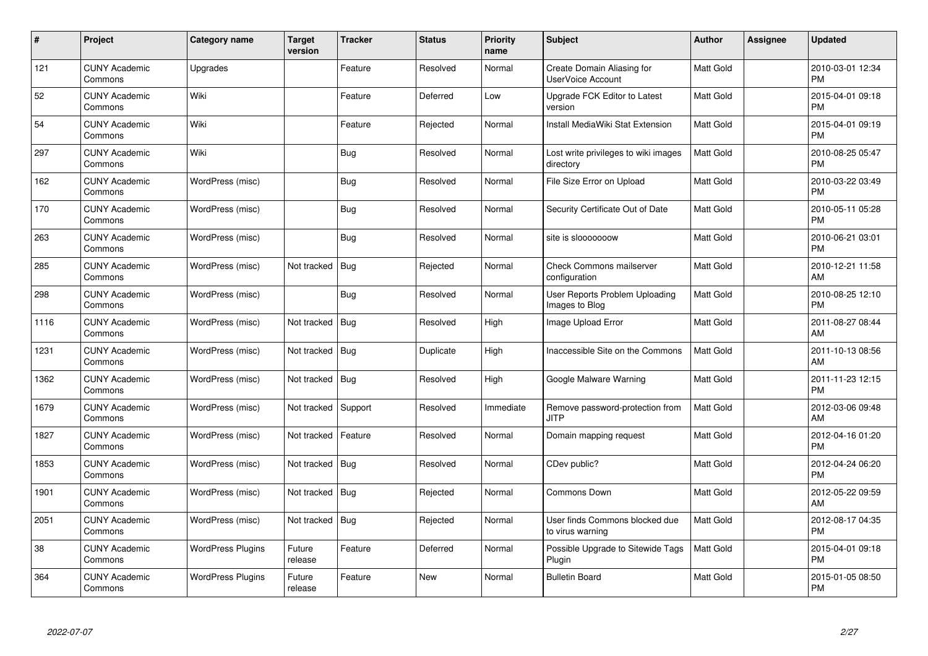| $\#$ | Project                         | Category name            | <b>Target</b><br>version | <b>Tracker</b> | <b>Status</b> | <b>Priority</b><br>name | <b>Subject</b>                                     | <b>Author</b>    | <b>Assignee</b> | <b>Updated</b>                |
|------|---------------------------------|--------------------------|--------------------------|----------------|---------------|-------------------------|----------------------------------------------------|------------------|-----------------|-------------------------------|
| 121  | <b>CUNY Academic</b><br>Commons | Upgrades                 |                          | Feature        | Resolved      | Normal                  | Create Domain Aliasing for<br>UserVoice Account    | Matt Gold        |                 | 2010-03-01 12:34<br><b>PM</b> |
| 52   | <b>CUNY Academic</b><br>Commons | Wiki                     |                          | Feature        | Deferred      | Low                     | Upgrade FCK Editor to Latest<br>version            | <b>Matt Gold</b> |                 | 2015-04-01 09:18<br>PM        |
| 54   | <b>CUNY Academic</b><br>Commons | Wiki                     |                          | Feature        | Rejected      | Normal                  | Install MediaWiki Stat Extension                   | Matt Gold        |                 | 2015-04-01 09:19<br><b>PM</b> |
| 297  | <b>CUNY Academic</b><br>Commons | Wiki                     |                          | <b>Bug</b>     | Resolved      | Normal                  | Lost write privileges to wiki images<br>directory  | Matt Gold        |                 | 2010-08-25 05:47<br><b>PM</b> |
| 162  | <b>CUNY Academic</b><br>Commons | WordPress (misc)         |                          | <b>Bug</b>     | Resolved      | Normal                  | File Size Error on Upload                          | Matt Gold        |                 | 2010-03-22 03:49<br><b>PM</b> |
| 170  | <b>CUNY Academic</b><br>Commons | WordPress (misc)         |                          | <b>Bug</b>     | Resolved      | Normal                  | Security Certificate Out of Date                   | Matt Gold        |                 | 2010-05-11 05:28<br><b>PM</b> |
| 263  | <b>CUNY Academic</b><br>Commons | WordPress (misc)         |                          | Bug            | Resolved      | Normal                  | site is slooooooow                                 | Matt Gold        |                 | 2010-06-21 03:01<br><b>PM</b> |
| 285  | <b>CUNY Academic</b><br>Commons | WordPress (misc)         | Not tracked              | Bug            | Rejected      | Normal                  | Check Commons mailserver<br>configuration          | Matt Gold        |                 | 2010-12-21 11:58<br>AM        |
| 298  | <b>CUNY Academic</b><br>Commons | WordPress (misc)         |                          | Bug            | Resolved      | Normal                  | User Reports Problem Uploading<br>Images to Blog   | Matt Gold        |                 | 2010-08-25 12:10<br><b>PM</b> |
| 1116 | <b>CUNY Academic</b><br>Commons | WordPress (misc)         | Not tracked              | Bug            | Resolved      | High                    | Image Upload Error                                 | Matt Gold        |                 | 2011-08-27 08:44<br>AM        |
| 1231 | <b>CUNY Academic</b><br>Commons | WordPress (misc)         | Not tracked              | Bug            | Duplicate     | High                    | Inaccessible Site on the Commons                   | Matt Gold        |                 | 2011-10-13 08:56<br>AM        |
| 1362 | <b>CUNY Academic</b><br>Commons | WordPress (misc)         | Not tracked   Bug        |                | Resolved      | High                    | Google Malware Warning                             | Matt Gold        |                 | 2011-11-23 12:15<br><b>PM</b> |
| 1679 | <b>CUNY Academic</b><br>Commons | WordPress (misc)         | Not tracked              | Support        | Resolved      | Immediate               | Remove password-protection from<br>JITP            | Matt Gold        |                 | 2012-03-06 09:48<br>AM        |
| 1827 | <b>CUNY Academic</b><br>Commons | WordPress (misc)         | Not tracked              | Feature        | Resolved      | Normal                  | Domain mapping request                             | Matt Gold        |                 | 2012-04-16 01:20<br><b>PM</b> |
| 1853 | <b>CUNY Academic</b><br>Commons | WordPress (misc)         | Not tracked              | <b>Bug</b>     | Resolved      | Normal                  | CDev public?                                       | Matt Gold        |                 | 2012-04-24 06:20<br><b>PM</b> |
| 1901 | <b>CUNY Academic</b><br>Commons | WordPress (misc)         | Not tracked   Bug        |                | Rejected      | Normal                  | Commons Down                                       | Matt Gold        |                 | 2012-05-22 09:59<br>AM        |
| 2051 | <b>CUNY Academic</b><br>Commons | WordPress (misc)         | Not tracked              | Bug            | Rejected      | Normal                  | User finds Commons blocked due<br>to virus warning | <b>Matt Gold</b> |                 | 2012-08-17 04:35<br><b>PM</b> |
| 38   | <b>CUNY Academic</b><br>Commons | <b>WordPress Plugins</b> | Future<br>release        | Feature        | Deferred      | Normal                  | Possible Upgrade to Sitewide Tags<br>Plugin        | Matt Gold        |                 | 2015-04-01 09:18<br><b>PM</b> |
| 364  | <b>CUNY Academic</b><br>Commons | <b>WordPress Plugins</b> | Future<br>release        | Feature        | New           | Normal                  | <b>Bulletin Board</b>                              | Matt Gold        |                 | 2015-01-05 08:50<br>PM        |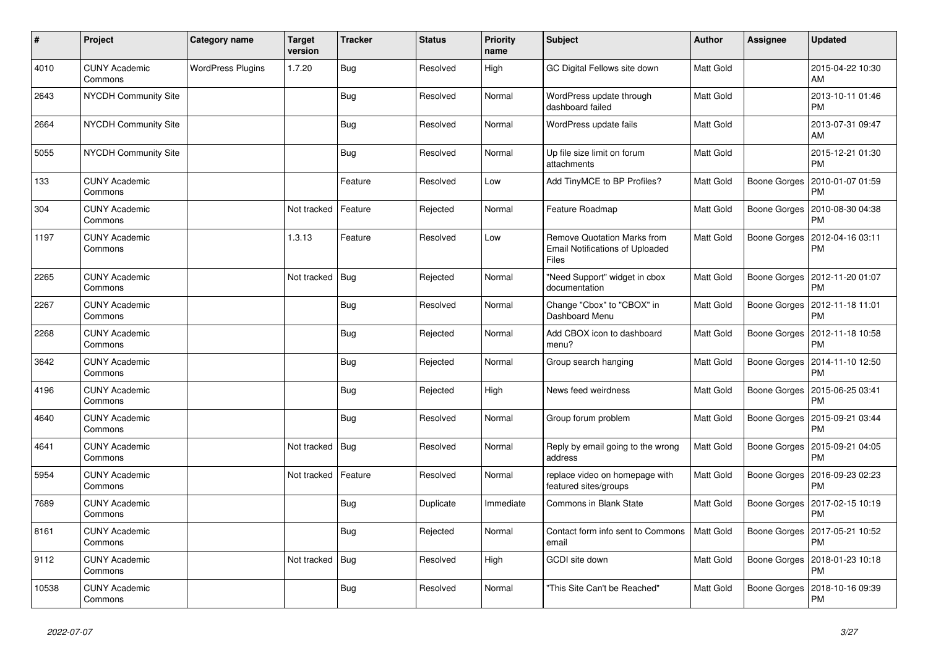| $\vert$ # | Project                         | Category name            | <b>Target</b><br>version | <b>Tracker</b> | <b>Status</b> | <b>Priority</b><br>name | <b>Subject</b>                                                                        | Author           | <b>Assignee</b>     | <b>Updated</b>                |
|-----------|---------------------------------|--------------------------|--------------------------|----------------|---------------|-------------------------|---------------------------------------------------------------------------------------|------------------|---------------------|-------------------------------|
| 4010      | <b>CUNY Academic</b><br>Commons | <b>WordPress Plugins</b> | 1.7.20                   | Bug            | Resolved      | High                    | GC Digital Fellows site down                                                          | Matt Gold        |                     | 2015-04-22 10:30<br>AM        |
| 2643      | <b>NYCDH Community Site</b>     |                          |                          | Bug            | Resolved      | Normal                  | WordPress update through<br>dashboard failed                                          | Matt Gold        |                     | 2013-10-11 01:46<br><b>PM</b> |
| 2664      | <b>NYCDH Community Site</b>     |                          |                          | Bug            | Resolved      | Normal                  | WordPress update fails                                                                | Matt Gold        |                     | 2013-07-31 09:47<br>AM        |
| 5055      | <b>NYCDH Community Site</b>     |                          |                          | Bug            | Resolved      | Normal                  | Up file size limit on forum<br>attachments                                            | Matt Gold        |                     | 2015-12-21 01:30<br><b>PM</b> |
| 133       | <b>CUNY Academic</b><br>Commons |                          |                          | Feature        | Resolved      | Low                     | Add TinyMCE to BP Profiles?                                                           | Matt Gold        | Boone Gorges        | 2010-01-07 01:59<br><b>PM</b> |
| 304       | <b>CUNY Academic</b><br>Commons |                          | Not tracked              | Feature        | Rejected      | Normal                  | Feature Roadmap                                                                       | Matt Gold        | Boone Gorges        | 2010-08-30 04:38<br><b>PM</b> |
| 1197      | <b>CUNY Academic</b><br>Commons |                          | 1.3.13                   | Feature        | Resolved      | Low                     | Remove Quotation Marks from<br><b>Email Notifications of Uploaded</b><br><b>Files</b> | Matt Gold        | Boone Gorges        | 2012-04-16 03:11<br><b>PM</b> |
| 2265      | <b>CUNY Academic</b><br>Commons |                          | Not tracked   Bug        |                | Rejected      | Normal                  | "Need Support" widget in cbox<br>documentation                                        | Matt Gold        | Boone Gorges        | 2012-11-20 01:07<br><b>PM</b> |
| 2267      | <b>CUNY Academic</b><br>Commons |                          |                          | Bug            | Resolved      | Normal                  | Change "Cbox" to "CBOX" in<br>Dashboard Menu                                          | Matt Gold        | Boone Gorges        | 2012-11-18 11:01<br><b>PM</b> |
| 2268      | <b>CUNY Academic</b><br>Commons |                          |                          | Bug            | Rejected      | Normal                  | Add CBOX icon to dashboard<br>menu?                                                   | Matt Gold        | Boone Gorges        | 2012-11-18 10:58<br><b>PM</b> |
| 3642      | <b>CUNY Academic</b><br>Commons |                          |                          | Bug            | Rejected      | Normal                  | Group search hanging                                                                  | Matt Gold        | <b>Boone Gorges</b> | 2014-11-10 12:50<br><b>PM</b> |
| 4196      | <b>CUNY Academic</b><br>Commons |                          |                          | <b>Bug</b>     | Rejected      | High                    | News feed weirdness                                                                   | Matt Gold        | Boone Gorges        | 2015-06-25 03:41<br><b>PM</b> |
| 4640      | <b>CUNY Academic</b><br>Commons |                          |                          | Bug            | Resolved      | Normal                  | Group forum problem                                                                   | <b>Matt Gold</b> | Boone Gorges        | 2015-09-21 03:44<br><b>PM</b> |
| 4641      | <b>CUNY Academic</b><br>Commons |                          | Not tracked              | Bug            | Resolved      | Normal                  | Reply by email going to the wrong<br>address                                          | Matt Gold        | Boone Gorges        | 2015-09-21 04:05<br><b>PM</b> |
| 5954      | <b>CUNY Academic</b><br>Commons |                          | Not tracked              | Feature        | Resolved      | Normal                  | replace video on homepage with<br>featured sites/groups                               | Matt Gold        | Boone Gorges        | 2016-09-23 02:23<br><b>PM</b> |
| 7689      | <b>CUNY Academic</b><br>Commons |                          |                          | Bug            | Duplicate     | Immediate               | <b>Commons in Blank State</b>                                                         | Matt Gold        | Boone Gorges        | 2017-02-15 10:19<br><b>PM</b> |
| 8161      | <b>CUNY Academic</b><br>Commons |                          |                          | Bug            | Rejected      | Normal                  | Contact form info sent to Commons<br>email                                            | Matt Gold        | <b>Boone Gorges</b> | 2017-05-21 10:52<br><b>PM</b> |
| 9112      | <b>CUNY Academic</b><br>Commons |                          | Not tracked              | <b>Bug</b>     | Resolved      | High                    | GCDI site down                                                                        | Matt Gold        | Boone Gorges        | 2018-01-23 10:18<br><b>PM</b> |
| 10538     | <b>CUNY Academic</b><br>Commons |                          |                          | <b>Bug</b>     | Resolved      | Normal                  | "This Site Can't be Reached"                                                          | Matt Gold        | Boone Gorges        | 2018-10-16 09:39<br>PM        |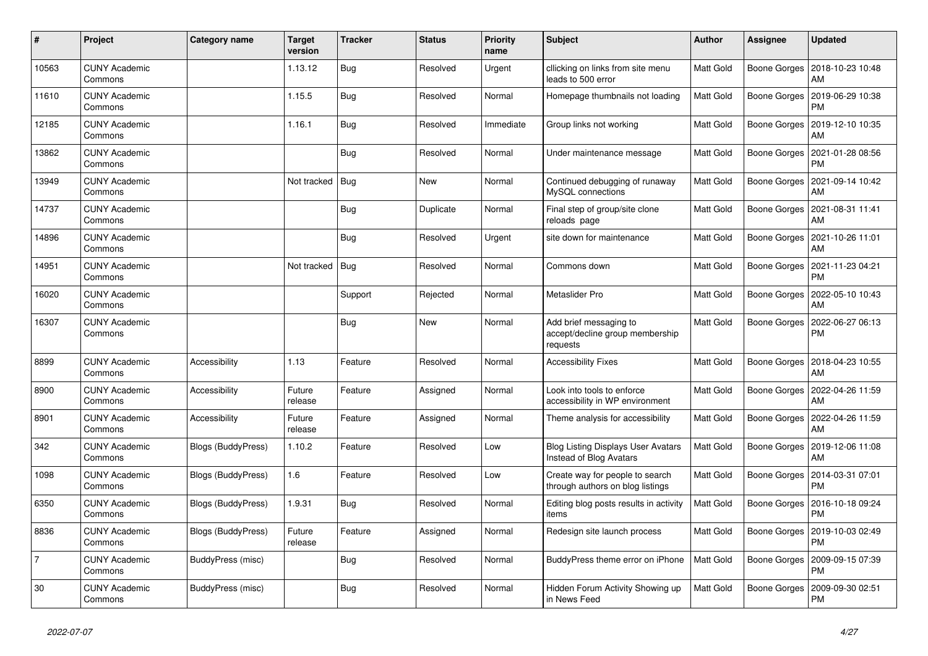| $\pmb{\sharp}$ | Project                         | Category name      | <b>Target</b><br>version | <b>Tracker</b> | <b>Status</b> | <b>Priority</b><br>name | <b>Subject</b>                                                        | <b>Author</b>    | Assignee     | <b>Updated</b>                               |
|----------------|---------------------------------|--------------------|--------------------------|----------------|---------------|-------------------------|-----------------------------------------------------------------------|------------------|--------------|----------------------------------------------|
| 10563          | <b>CUNY Academic</b><br>Commons |                    | 1.13.12                  | Bug            | Resolved      | Urgent                  | cllicking on links from site menu<br>leads to 500 error               | Matt Gold        |              | Boone Gorges   2018-10-23 10:48<br>AM        |
| 11610          | <b>CUNY Academic</b><br>Commons |                    | 1.15.5                   | Bug            | Resolved      | Normal                  | Homepage thumbnails not loading                                       | <b>Matt Gold</b> | Boone Gorges | 2019-06-29 10:38<br><b>PM</b>                |
| 12185          | <b>CUNY Academic</b><br>Commons |                    | 1.16.1                   | Bug            | Resolved      | Immediate               | Group links not working                                               | Matt Gold        | Boone Gorges | 2019-12-10 10:35<br>AM                       |
| 13862          | <b>CUNY Academic</b><br>Commons |                    |                          | <b>Bug</b>     | Resolved      | Normal                  | Under maintenance message                                             | Matt Gold        |              | Boone Gorges   2021-01-28 08:56<br><b>PM</b> |
| 13949          | <b>CUNY Academic</b><br>Commons |                    | Not tracked              | Bug            | <b>New</b>    | Normal                  | Continued debugging of runaway<br>MySQL connections                   | Matt Gold        | Boone Gorges | 2021-09-14 10:42<br>AM                       |
| 14737          | <b>CUNY Academic</b><br>Commons |                    |                          | <b>Bug</b>     | Duplicate     | Normal                  | Final step of group/site clone<br>reloads page                        | Matt Gold        | Boone Gorges | 2021-08-31 11:41<br>AM                       |
| 14896          | <b>CUNY Academic</b><br>Commons |                    |                          | <b>Bug</b>     | Resolved      | Urgent                  | site down for maintenance                                             | Matt Gold        |              | Boone Gorges   2021-10-26 11:01<br>AM        |
| 14951          | <b>CUNY Academic</b><br>Commons |                    | Not tracked              | Bug            | Resolved      | Normal                  | Commons down                                                          | Matt Gold        | Boone Gorges | 2021-11-23 04:21<br><b>PM</b>                |
| 16020          | <b>CUNY Academic</b><br>Commons |                    |                          | Support        | Rejected      | Normal                  | Metaslider Pro                                                        | Matt Gold        | Boone Gorges | 2022-05-10 10:43<br>AM                       |
| 16307          | <b>CUNY Academic</b><br>Commons |                    |                          | <b>Bug</b>     | New           | Normal                  | Add brief messaging to<br>accept/decline group membership<br>requests | Matt Gold        | Boone Gorges | 2022-06-27 06:13<br><b>PM</b>                |
| 8899           | <b>CUNY Academic</b><br>Commons | Accessibility      | 1.13                     | Feature        | Resolved      | Normal                  | <b>Accessibility Fixes</b>                                            | Matt Gold        | Boone Gorges | 2018-04-23 10:55<br>AM                       |
| 8900           | <b>CUNY Academic</b><br>Commons | Accessibility      | Future<br>release        | Feature        | Assigned      | Normal                  | Look into tools to enforce<br>accessibility in WP environment         | Matt Gold        |              | Boone Gorges   2022-04-26 11:59<br>AM        |
| 8901           | <b>CUNY Academic</b><br>Commons | Accessibility      | Future<br>release        | Feature        | Assigned      | Normal                  | Theme analysis for accessibility                                      | Matt Gold        | Boone Gorges | 2022-04-26 11:59<br>AM                       |
| 342            | <b>CUNY Academic</b><br>Commons | Blogs (BuddyPress) | 1.10.2                   | Feature        | Resolved      | Low                     | <b>Blog Listing Displays User Avatars</b><br>Instead of Blog Avatars  | Matt Gold        | Boone Gorges | 2019-12-06 11:08<br>AM                       |
| 1098           | <b>CUNY Academic</b><br>Commons | Blogs (BuddyPress) | 1.6                      | Feature        | Resolved      | Low                     | Create way for people to search<br>through authors on blog listings   | Matt Gold        | Boone Gorges | 2014-03-31 07:01<br><b>PM</b>                |
| 6350           | <b>CUNY Academic</b><br>Commons | Blogs (BuddyPress) | 1.9.31                   | Bug            | Resolved      | Normal                  | Editing blog posts results in activity<br>items                       | Matt Gold        | Boone Gorges | 2016-10-18 09:24<br><b>PM</b>                |
| 8836           | <b>CUNY Academic</b><br>Commons | Blogs (BuddyPress) | Future<br>release        | Feature        | Assigned      | Normal                  | Redesign site launch process                                          | Matt Gold        | Boone Gorges | 2019-10-03 02:49<br><b>PM</b>                |
| 7              | <b>CUNY Academic</b><br>Commons | BuddyPress (misc)  |                          | Bug            | Resolved      | Normal                  | BuddyPress theme error on iPhone                                      | <b>Matt Gold</b> |              | Boone Gorges   2009-09-15 07:39<br><b>PM</b> |
| 30             | <b>CUNY Academic</b><br>Commons | BuddyPress (misc)  |                          | Bug            | Resolved      | Normal                  | Hidden Forum Activity Showing up<br>in News Feed                      | Matt Gold        | Boone Gorges | 2009-09-30 02:51<br><b>PM</b>                |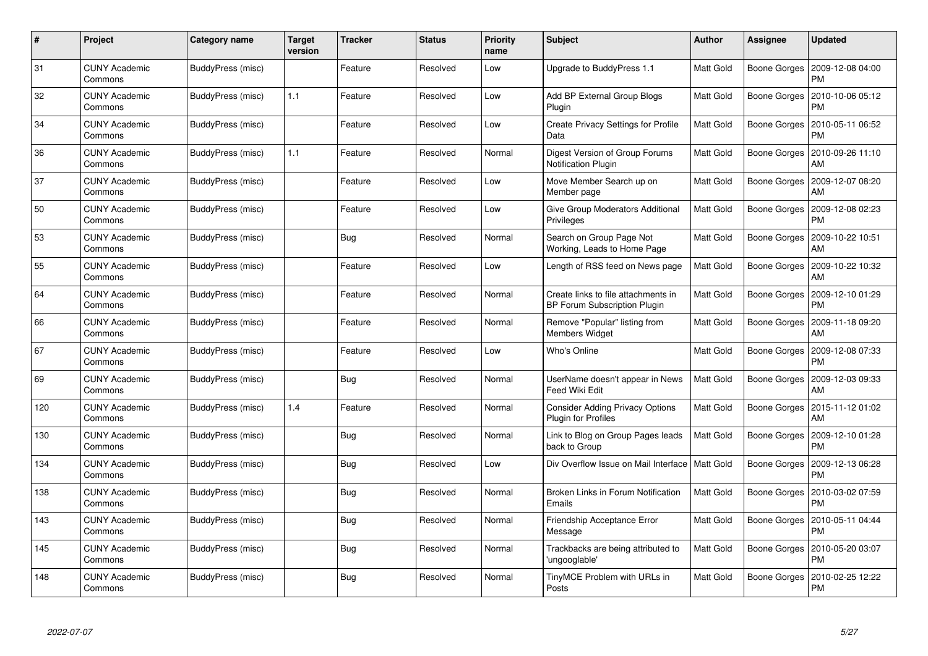| $\#$ | Project                         | Category name     | Target<br>version | <b>Tracker</b> | <b>Status</b> | <b>Priority</b><br>name | <b>Subject</b>                                                       | <b>Author</b>    | Assignee            | <b>Updated</b>                        |
|------|---------------------------------|-------------------|-------------------|----------------|---------------|-------------------------|----------------------------------------------------------------------|------------------|---------------------|---------------------------------------|
| 31   | <b>CUNY Academic</b><br>Commons | BuddyPress (misc) |                   | Feature        | Resolved      | Low                     | Upgrade to BuddyPress 1.1                                            | <b>Matt Gold</b> | Boone Gorges        | 2009-12-08 04:00<br><b>PM</b>         |
| 32   | <b>CUNY Academic</b><br>Commons | BuddyPress (misc) | 1.1               | Feature        | Resolved      | Low                     | Add BP External Group Blogs<br>Plugin                                | <b>Matt Gold</b> | Boone Gorges        | 2010-10-06 05:12<br><b>PM</b>         |
| 34   | <b>CUNY Academic</b><br>Commons | BuddyPress (misc) |                   | Feature        | Resolved      | Low                     | <b>Create Privacy Settings for Profile</b><br>Data                   | <b>Matt Gold</b> | Boone Gorges        | 2010-05-11 06:52<br>PM                |
| 36   | <b>CUNY Academic</b><br>Commons | BuddyPress (misc) | 1.1               | Feature        | Resolved      | Normal                  | Digest Version of Group Forums<br><b>Notification Plugin</b>         | Matt Gold        | Boone Gorges        | 2010-09-26 11:10<br>AM                |
| 37   | <b>CUNY Academic</b><br>Commons | BuddyPress (misc) |                   | Feature        | Resolved      | Low                     | Move Member Search up on<br>Member page                              | <b>Matt Gold</b> | Boone Gorges        | 2009-12-07 08:20<br>AM                |
| 50   | <b>CUNY Academic</b><br>Commons | BuddyPress (misc) |                   | Feature        | Resolved      | Low                     | Give Group Moderators Additional<br>Privileges                       | <b>Matt Gold</b> | Boone Gorges        | 2009-12-08 02:23<br>PM                |
| 53   | <b>CUNY Academic</b><br>Commons | BuddyPress (misc) |                   | <b>Bug</b>     | Resolved      | Normal                  | Search on Group Page Not<br>Working, Leads to Home Page              | <b>Matt Gold</b> | Boone Gorges        | 2009-10-22 10:51<br>AM                |
| 55   | <b>CUNY Academic</b><br>Commons | BuddyPress (misc) |                   | Feature        | Resolved      | Low                     | Length of RSS feed on News page                                      | Matt Gold        |                     | Boone Gorges   2009-10-22 10:32<br>AM |
| 64   | <b>CUNY Academic</b><br>Commons | BuddyPress (misc) |                   | Feature        | Resolved      | Normal                  | Create links to file attachments in<br>BP Forum Subscription Plugin  | <b>Matt Gold</b> | Boone Gorges        | 2009-12-10 01:29<br><b>PM</b>         |
| 66   | <b>CUNY Academic</b><br>Commons | BuddyPress (misc) |                   | Feature        | Resolved      | Normal                  | Remove "Popular" listing from<br><b>Members Widget</b>               | <b>Matt Gold</b> | Boone Gorges        | 2009-11-18 09:20<br>AM                |
| 67   | <b>CUNY Academic</b><br>Commons | BuddyPress (misc) |                   | Feature        | Resolved      | Low                     | Who's Online                                                         | Matt Gold        | Boone Gorges        | 2009-12-08 07:33<br><b>PM</b>         |
| 69   | <b>CUNY Academic</b><br>Commons | BuddyPress (misc) |                   | <b>Bug</b>     | Resolved      | Normal                  | UserName doesn't appear in News<br>Feed Wiki Edit                    | <b>Matt Gold</b> | Boone Gorges        | 2009-12-03 09:33<br>AM                |
| 120  | <b>CUNY Academic</b><br>Commons | BuddyPress (misc) | 1.4               | Feature        | Resolved      | Normal                  | <b>Consider Adding Privacy Options</b><br><b>Plugin for Profiles</b> | Matt Gold        | Boone Gorges        | 2015-11-12 01:02<br>AM                |
| 130  | <b>CUNY Academic</b><br>Commons | BuddyPress (misc) |                   | <b>Bug</b>     | Resolved      | Normal                  | Link to Blog on Group Pages leads<br>back to Group                   | Matt Gold        | Boone Gorges        | 2009-12-10 01:28<br>PM                |
| 134  | <b>CUNY Academic</b><br>Commons | BuddyPress (misc) |                   | <b>Bug</b>     | Resolved      | Low                     | Div Overflow Issue on Mail Interface   Matt Gold                     |                  | <b>Boone Gorges</b> | 2009-12-13 06:28<br>PМ                |
| 138  | <b>CUNY Academic</b><br>Commons | BuddyPress (misc) |                   | Bug            | Resolved      | Normal                  | Broken Links in Forum Notification<br>Emails                         | <b>Matt Gold</b> | Boone Gorges        | 2010-03-02 07:59<br>PM                |
| 143  | <b>CUNY Academic</b><br>Commons | BuddyPress (misc) |                   | <b>Bug</b>     | Resolved      | Normal                  | Friendship Acceptance Error<br>Message                               | Matt Gold        | Boone Gorges        | 2010-05-11 04:44<br><b>PM</b>         |
| 145  | <b>CUNY Academic</b><br>Commons | BuddyPress (misc) |                   | <b>Bug</b>     | Resolved      | Normal                  | Trackbacks are being attributed to<br>ungooglable'                   | Matt Gold        | Boone Gorges        | 2010-05-20 03:07<br><b>PM</b>         |
| 148  | CUNY Academic<br>Commons        | BuddyPress (misc) |                   | <b>Bug</b>     | Resolved      | Normal                  | TinyMCE Problem with URLs in<br>Posts                                | Matt Gold        | Boone Gorges        | 2010-02-25 12:22<br>PM                |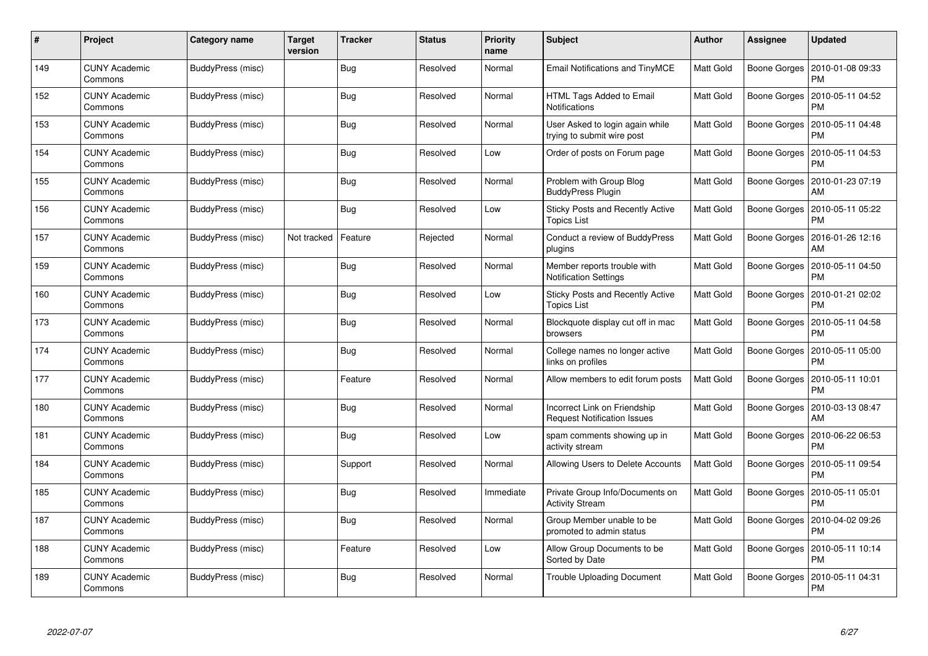| #   | Project                         | Category name     | <b>Target</b><br>version | <b>Tracker</b> | <b>Status</b> | <b>Priority</b><br>name | <b>Subject</b>                                                     | <b>Author</b>    | Assignee     | <b>Updated</b>                |
|-----|---------------------------------|-------------------|--------------------------|----------------|---------------|-------------------------|--------------------------------------------------------------------|------------------|--------------|-------------------------------|
| 149 | <b>CUNY Academic</b><br>Commons | BuddyPress (misc) |                          | <b>Bug</b>     | Resolved      | Normal                  | Email Notifications and TinyMCE                                    | Matt Gold        | Boone Gorges | 2010-01-08 09:33<br><b>PM</b> |
| 152 | <b>CUNY Academic</b><br>Commons | BuddyPress (misc) |                          | Bug            | Resolved      | Normal                  | HTML Tags Added to Email<br><b>Notifications</b>                   | Matt Gold        | Boone Gorges | 2010-05-11 04:52<br>PM        |
| 153 | <b>CUNY Academic</b><br>Commons | BuddyPress (misc) |                          | <b>Bug</b>     | Resolved      | Normal                  | User Asked to login again while<br>trying to submit wire post      | Matt Gold        | Boone Gorges | 2010-05-11 04:48<br>PM        |
| 154 | <b>CUNY Academic</b><br>Commons | BuddyPress (misc) |                          | <b>Bug</b>     | Resolved      | Low                     | Order of posts on Forum page                                       | Matt Gold        | Boone Gorges | 2010-05-11 04:53<br>PM        |
| 155 | <b>CUNY Academic</b><br>Commons | BuddyPress (misc) |                          | <b>Bug</b>     | Resolved      | Normal                  | Problem with Group Blog<br><b>BuddyPress Plugin</b>                | Matt Gold        | Boone Gorges | 2010-01-23 07:19<br>AM        |
| 156 | <b>CUNY Academic</b><br>Commons | BuddyPress (misc) |                          | <b>Bug</b>     | Resolved      | Low                     | Sticky Posts and Recently Active<br><b>Topics List</b>             | Matt Gold        | Boone Gorges | 2010-05-11 05:22<br><b>PM</b> |
| 157 | <b>CUNY Academic</b><br>Commons | BuddyPress (misc) | Not tracked              | Feature        | Rejected      | Normal                  | Conduct a review of BuddyPress<br>plugins                          | Matt Gold        | Boone Gorges | 2016-01-26 12:16<br>AM        |
| 159 | <b>CUNY Academic</b><br>Commons | BuddyPress (misc) |                          | <b>Bug</b>     | Resolved      | Normal                  | Member reports trouble with<br><b>Notification Settings</b>        | Matt Gold        | Boone Gorges | 2010-05-11 04:50<br><b>PM</b> |
| 160 | <b>CUNY Academic</b><br>Commons | BuddyPress (misc) |                          | Bug            | Resolved      | Low                     | Sticky Posts and Recently Active<br><b>Topics List</b>             | <b>Matt Gold</b> | Boone Gorges | 2010-01-21 02:02<br>PM        |
| 173 | <b>CUNY Academic</b><br>Commons | BuddyPress (misc) |                          | Bug            | Resolved      | Normal                  | Blockquote display cut off in mac<br>browsers                      | Matt Gold        | Boone Gorges | 2010-05-11 04:58<br><b>PM</b> |
| 174 | <b>CUNY Academic</b><br>Commons | BuddyPress (misc) |                          | <b>Bug</b>     | Resolved      | Normal                  | College names no longer active<br>links on profiles                | Matt Gold        | Boone Gorges | 2010-05-11 05:00<br><b>PM</b> |
| 177 | <b>CUNY Academic</b><br>Commons | BuddyPress (misc) |                          | Feature        | Resolved      | Normal                  | Allow members to edit forum posts                                  | Matt Gold        | Boone Gorges | 2010-05-11 10:01<br><b>PM</b> |
| 180 | <b>CUNY Academic</b><br>Commons | BuddyPress (misc) |                          | Bug            | Resolved      | Normal                  | Incorrect Link on Friendship<br><b>Request Notification Issues</b> | Matt Gold        | Boone Gorges | 2010-03-13 08:47<br>AM        |
| 181 | <b>CUNY Academic</b><br>Commons | BuddyPress (misc) |                          | <b>Bug</b>     | Resolved      | Low                     | spam comments showing up in<br>activity stream                     | Matt Gold        | Boone Gorges | 2010-06-22 06:53<br>PM        |
| 184 | <b>CUNY Academic</b><br>Commons | BuddyPress (misc) |                          | Support        | Resolved      | Normal                  | Allowing Users to Delete Accounts                                  | Matt Gold        | Boone Gorges | 2010-05-11 09:54<br><b>PM</b> |
| 185 | <b>CUNY Academic</b><br>Commons | BuddyPress (misc) |                          | Bug            | Resolved      | Immediate               | Private Group Info/Documents on<br><b>Activity Stream</b>          | <b>Matt Gold</b> | Boone Gorges | 2010-05-11 05:01<br><b>PM</b> |
| 187 | <b>CUNY Academic</b><br>Commons | BuddyPress (misc) |                          | Bug            | Resolved      | Normal                  | Group Member unable to be<br>promoted to admin status              | Matt Gold        | Boone Gorges | 2010-04-02 09:26<br><b>PM</b> |
| 188 | <b>CUNY Academic</b><br>Commons | BuddyPress (misc) |                          | Feature        | Resolved      | Low                     | Allow Group Documents to be<br>Sorted by Date                      | Matt Gold        | Boone Gorges | 2010-05-11 10:14<br><b>PM</b> |
| 189 | CUNY Academic<br>Commons        | BuddyPress (misc) |                          | <b>Bug</b>     | Resolved      | Normal                  | Trouble Uploading Document                                         | Matt Gold        | Boone Gorges | 2010-05-11 04:31<br>PM        |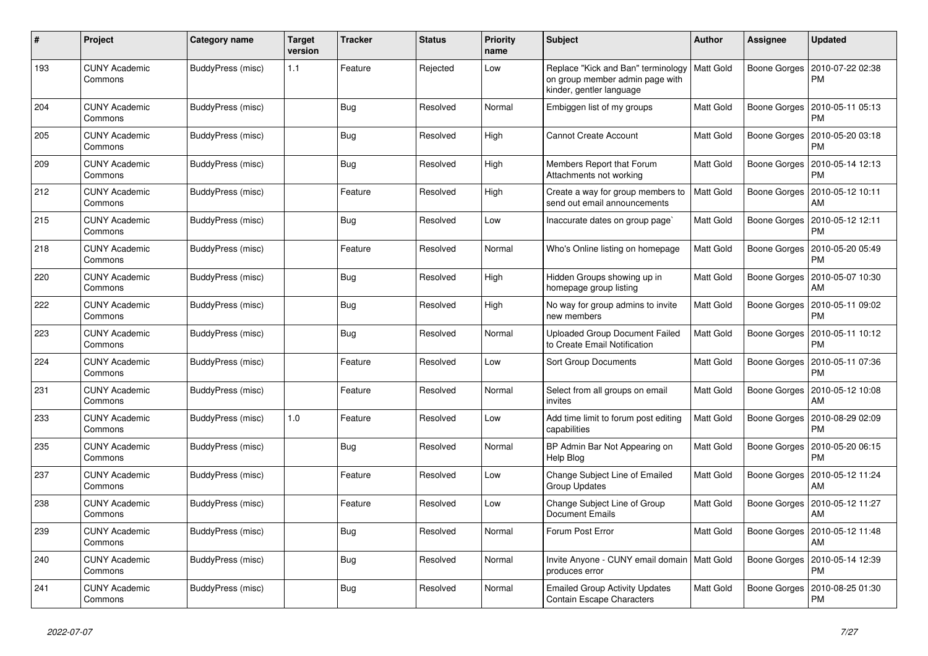| #   | Project                         | Category name     | <b>Target</b><br>version | <b>Tracker</b> | <b>Status</b> | <b>Priority</b><br>name | <b>Subject</b>                                                                                                | <b>Author</b>    | Assignee            | <b>Updated</b>                               |
|-----|---------------------------------|-------------------|--------------------------|----------------|---------------|-------------------------|---------------------------------------------------------------------------------------------------------------|------------------|---------------------|----------------------------------------------|
| 193 | <b>CUNY Academic</b><br>Commons | BuddyPress (misc) | 1.1                      | Feature        | Rejected      | Low                     | Replace "Kick and Ban" terminology   Matt Gold<br>on group member admin page with<br>kinder, gentler language |                  | Boone Gorges        | 2010-07-22 02:38<br>PM                       |
| 204 | <b>CUNY Academic</b><br>Commons | BuddyPress (misc) |                          | <b>Bug</b>     | Resolved      | Normal                  | Embiggen list of my groups                                                                                    | Matt Gold        |                     | Boone Gorges   2010-05-11 05:13<br><b>PM</b> |
| 205 | <b>CUNY Academic</b><br>Commons | BuddyPress (misc) |                          | Bug            | Resolved      | High                    | <b>Cannot Create Account</b>                                                                                  | Matt Gold        | Boone Gorges        | 2010-05-20 03:18<br><b>PM</b>                |
| 209 | <b>CUNY Academic</b><br>Commons | BuddyPress (misc) |                          | <b>Bug</b>     | Resolved      | High                    | Members Report that Forum<br>Attachments not working                                                          | Matt Gold        | Boone Gorges        | 2010-05-14 12:13<br><b>PM</b>                |
| 212 | <b>CUNY Academic</b><br>Commons | BuddyPress (misc) |                          | Feature        | Resolved      | High                    | Create a way for group members to<br>send out email announcements                                             | Matt Gold        |                     | Boone Gorges   2010-05-12 10:11<br>AM        |
| 215 | <b>CUNY Academic</b><br>Commons | BuddyPress (misc) |                          | Bug            | Resolved      | Low                     | Inaccurate dates on group page                                                                                | Matt Gold        | Boone Gorges        | 2010-05-12 12:11<br><b>PM</b>                |
| 218 | <b>CUNY Academic</b><br>Commons | BuddyPress (misc) |                          | Feature        | Resolved      | Normal                  | Who's Online listing on homepage                                                                              | <b>Matt Gold</b> | Boone Gorges        | 2010-05-20 05:49<br><b>PM</b>                |
| 220 | <b>CUNY Academic</b><br>Commons | BuddyPress (misc) |                          | Bug            | Resolved      | High                    | Hidden Groups showing up in<br>homepage group listing                                                         | Matt Gold        | Boone Gorges        | 2010-05-07 10:30<br>AM                       |
| 222 | <b>CUNY Academic</b><br>Commons | BuddyPress (misc) |                          | Bug            | Resolved      | High                    | No way for group admins to invite<br>new members                                                              | Matt Gold        | Boone Gorges        | 2010-05-11 09:02<br><b>PM</b>                |
| 223 | <b>CUNY Academic</b><br>Commons | BuddyPress (misc) |                          | <b>Bug</b>     | Resolved      | Normal                  | <b>Uploaded Group Document Failed</b><br>to Create Email Notification                                         | Matt Gold        | Boone Gorges        | 2010-05-11 10:12<br><b>PM</b>                |
| 224 | <b>CUNY Academic</b><br>Commons | BuddyPress (misc) |                          | Feature        | Resolved      | Low                     | <b>Sort Group Documents</b>                                                                                   | Matt Gold        | Boone Gorges        | 2010-05-11 07:36<br><b>PM</b>                |
| 231 | <b>CUNY Academic</b><br>Commons | BuddyPress (misc) |                          | Feature        | Resolved      | Normal                  | Select from all groups on email<br>invites                                                                    | Matt Gold        | Boone Gorges        | 2010-05-12 10:08<br>AM                       |
| 233 | <b>CUNY Academic</b><br>Commons | BuddyPress (misc) | $1.0$                    | Feature        | Resolved      | Low                     | Add time limit to forum post editing<br>capabilities                                                          | Matt Gold        | Boone Gorges        | 2010-08-29 02:09<br><b>PM</b>                |
| 235 | <b>CUNY Academic</b><br>Commons | BuddyPress (misc) |                          | <b>Bug</b>     | Resolved      | Normal                  | BP Admin Bar Not Appearing on<br>Help Blog                                                                    | Matt Gold        | Boone Gorges        | 2010-05-20 06:15<br><b>PM</b>                |
| 237 | <b>CUNY Academic</b><br>Commons | BuddyPress (misc) |                          | Feature        | Resolved      | Low                     | Change Subject Line of Emailed<br><b>Group Updates</b>                                                        | Matt Gold        | Boone Gorges        | 2010-05-12 11:24<br>AM                       |
| 238 | <b>CUNY Academic</b><br>Commons | BuddyPress (misc) |                          | Feature        | Resolved      | Low                     | Change Subject Line of Group<br><b>Document Emails</b>                                                        | Matt Gold        | <b>Boone Gorges</b> | 2010-05-12 11:27<br>AM                       |
| 239 | <b>CUNY Academic</b><br>Commons | BuddyPress (misc) |                          | Bug            | Resolved      | Normal                  | Forum Post Error                                                                                              | Matt Gold        | Boone Gorges        | 2010-05-12 11:48<br>AM                       |
| 240 | <b>CUNY Academic</b><br>Commons | BuddyPress (misc) |                          | <b>Bug</b>     | Resolved      | Normal                  | Invite Anyone - CUNY email domain   Matt Gold<br>produces error                                               |                  | Boone Gorges        | 2010-05-14 12:39<br><b>PM</b>                |
| 241 | <b>CUNY Academic</b><br>Commons | BuddyPress (misc) |                          | <b>Bug</b>     | Resolved      | Normal                  | <b>Emailed Group Activity Updates</b><br><b>Contain Escape Characters</b>                                     | Matt Gold        | Boone Gorges        | 2010-08-25 01:30<br><b>PM</b>                |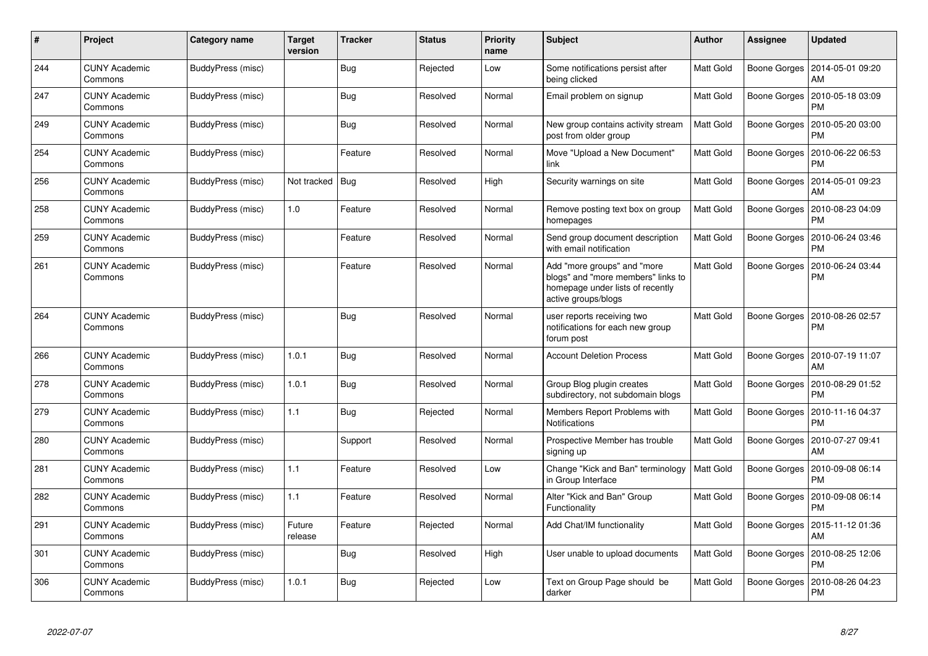| #   | Project                         | Category name     | <b>Target</b><br>version | <b>Tracker</b> | <b>Status</b> | <b>Priority</b><br>name | <b>Subject</b>                                                                                                               | <b>Author</b>    | Assignee            | <b>Updated</b>                |
|-----|---------------------------------|-------------------|--------------------------|----------------|---------------|-------------------------|------------------------------------------------------------------------------------------------------------------------------|------------------|---------------------|-------------------------------|
| 244 | <b>CUNY Academic</b><br>Commons | BuddyPress (misc) |                          | <b>Bug</b>     | Rejected      | Low                     | Some notifications persist after<br>being clicked                                                                            | Matt Gold        | Boone Gorges        | 2014-05-01 09:20<br>AM        |
| 247 | <b>CUNY Academic</b><br>Commons | BuddyPress (misc) |                          | <b>Bug</b>     | Resolved      | Normal                  | Email problem on signup                                                                                                      | Matt Gold        | Boone Gorges        | 2010-05-18 03:09<br><b>PM</b> |
| 249 | <b>CUNY Academic</b><br>Commons | BuddyPress (misc) |                          | <b>Bug</b>     | Resolved      | Normal                  | New group contains activity stream<br>post from older group                                                                  | <b>Matt Gold</b> | <b>Boone Gorges</b> | 2010-05-20 03:00<br>PM        |
| 254 | <b>CUNY Academic</b><br>Commons | BuddyPress (misc) |                          | Feature        | Resolved      | Normal                  | Move "Upload a New Document"<br>link                                                                                         | Matt Gold        | Boone Gorges        | 2010-06-22 06:53<br>PM        |
| 256 | <b>CUNY Academic</b><br>Commons | BuddyPress (misc) | Not tracked              | <b>Bug</b>     | Resolved      | High                    | Security warnings on site                                                                                                    | <b>Matt Gold</b> | Boone Gorges        | 2014-05-01 09:23<br>AM        |
| 258 | <b>CUNY Academic</b><br>Commons | BuddyPress (misc) | 1.0                      | Feature        | Resolved      | Normal                  | Remove posting text box on group<br>homepages                                                                                | Matt Gold        | Boone Gorges        | 2010-08-23 04:09<br><b>PM</b> |
| 259 | <b>CUNY Academic</b><br>Commons | BuddyPress (misc) |                          | Feature        | Resolved      | Normal                  | Send group document description<br>with email notification                                                                   | Matt Gold        | Boone Gorges        | 2010-06-24 03:46<br><b>PM</b> |
| 261 | <b>CUNY Academic</b><br>Commons | BuddyPress (misc) |                          | Feature        | Resolved      | Normal                  | Add "more groups" and "more<br>blogs" and "more members" links to<br>homepage under lists of recently<br>active groups/blogs | Matt Gold        | Boone Gorges        | 2010-06-24 03:44<br>PM        |
| 264 | <b>CUNY Academic</b><br>Commons | BuddyPress (misc) |                          | Bug            | Resolved      | Normal                  | user reports receiving two<br>notifications for each new group<br>forum post                                                 | <b>Matt Gold</b> | Boone Gorges        | 2010-08-26 02:57<br>PM        |
| 266 | <b>CUNY Academic</b><br>Commons | BuddyPress (misc) | 1.0.1                    | <b>Bug</b>     | Resolved      | Normal                  | <b>Account Deletion Process</b>                                                                                              | Matt Gold        | Boone Gorges        | 2010-07-19 11:07<br>AM        |
| 278 | <b>CUNY Academic</b><br>Commons | BuddyPress (misc) | 1.0.1                    | <b>Bug</b>     | Resolved      | Normal                  | Group Blog plugin creates<br>subdirectory, not subdomain blogs                                                               | Matt Gold        | Boone Gorges        | 2010-08-29 01:52<br><b>PM</b> |
| 279 | <b>CUNY Academic</b><br>Commons | BuddyPress (misc) | 1.1                      | Bug            | Rejected      | Normal                  | Members Report Problems with<br><b>Notifications</b>                                                                         | Matt Gold        | Boone Gorges        | 2010-11-16 04:37<br>PM        |
| 280 | <b>CUNY Academic</b><br>Commons | BuddyPress (misc) |                          | Support        | Resolved      | Normal                  | Prospective Member has trouble<br>signing up                                                                                 | Matt Gold        | Boone Gorges        | 2010-07-27 09:41<br>AM        |
| 281 | <b>CUNY Academic</b><br>Commons | BuddyPress (misc) | 1.1                      | Feature        | Resolved      | Low                     | Change "Kick and Ban" terminology<br>in Group Interface                                                                      | <b>Matt Gold</b> | Boone Gorges        | 2010-09-08 06:14<br>PM        |
| 282 | <b>CUNY Academic</b><br>Commons | BuddyPress (misc) | 1.1                      | Feature        | Resolved      | Normal                  | Alter "Kick and Ban" Group<br>Functionality                                                                                  | Matt Gold        | Boone Gorges        | 2010-09-08 06:14<br><b>PM</b> |
| 291 | <b>CUNY Academic</b><br>Commons | BuddyPress (misc) | Future<br>release        | Feature        | Rejected      | Normal                  | Add Chat/IM functionality                                                                                                    | Matt Gold        | Boone Gorges        | 2015-11-12 01:36<br>AM        |
| 301 | <b>CUNY Academic</b><br>Commons | BuddyPress (misc) |                          | <b>Bug</b>     | Resolved      | High                    | User unable to upload documents                                                                                              | Matt Gold        | Boone Gorges        | 2010-08-25 12:06<br><b>PM</b> |
| 306 | <b>CUNY Academic</b><br>Commons | BuddyPress (misc) | 1.0.1                    | <b>Bug</b>     | Rejected      | Low                     | Text on Group Page should be<br>darker                                                                                       | Matt Gold        | Boone Gorges        | 2010-08-26 04:23<br>PM        |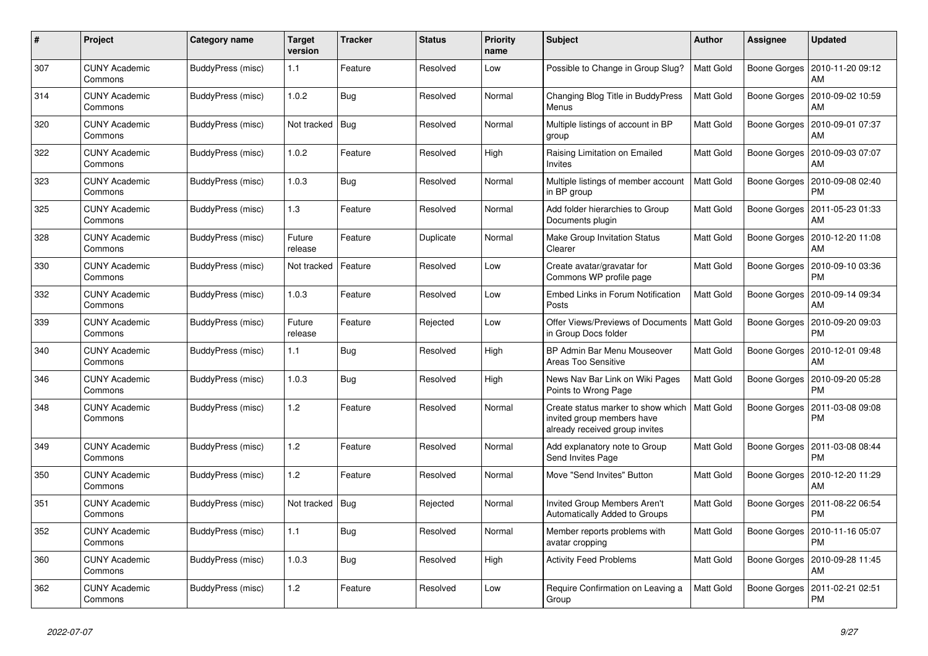| #   | Project                         | Category name     | Target<br>version | <b>Tracker</b> | <b>Status</b> | <b>Priority</b><br>name | <b>Subject</b>                                                                                     | <b>Author</b>    | Assignee            | <b>Updated</b>                        |
|-----|---------------------------------|-------------------|-------------------|----------------|---------------|-------------------------|----------------------------------------------------------------------------------------------------|------------------|---------------------|---------------------------------------|
| 307 | <b>CUNY Academic</b><br>Commons | BuddyPress (misc) | 1.1               | Feature        | Resolved      | Low                     | Possible to Change in Group Slug?                                                                  | <b>Matt Gold</b> | Boone Gorges        | 2010-11-20 09:12<br>AM                |
| 314 | <b>CUNY Academic</b><br>Commons | BuddyPress (misc) | 1.0.2             | <b>Bug</b>     | Resolved      | Normal                  | Changing Blog Title in BuddyPress<br>Menus                                                         | <b>Matt Gold</b> | <b>Boone Gorges</b> | 2010-09-02 10:59<br>AM                |
| 320 | <b>CUNY Academic</b><br>Commons | BuddyPress (misc) | Not tracked       | Bug            | Resolved      | Normal                  | Multiple listings of account in BP<br>group                                                        | Matt Gold        | Boone Gorges        | 2010-09-01 07:37<br>AM                |
| 322 | <b>CUNY Academic</b><br>Commons | BuddyPress (misc) | 1.0.2             | Feature        | Resolved      | High                    | Raising Limitation on Emailed<br>Invites                                                           | Matt Gold        |                     | Boone Gorges   2010-09-03 07:07<br>AM |
| 323 | <b>CUNY Academic</b><br>Commons | BuddyPress (misc) | 1.0.3             | Bug            | Resolved      | Normal                  | Multiple listings of member account<br>in BP group                                                 | <b>Matt Gold</b> | Boone Gorges        | 2010-09-08 02:40<br><b>PM</b>         |
| 325 | <b>CUNY Academic</b><br>Commons | BuddyPress (misc) | 1.3               | Feature        | Resolved      | Normal                  | Add folder hierarchies to Group<br>Documents plugin                                                | Matt Gold        | Boone Gorges        | 2011-05-23 01:33<br>AM                |
| 328 | <b>CUNY Academic</b><br>Commons | BuddyPress (misc) | Future<br>release | Feature        | Duplicate     | Normal                  | Make Group Invitation Status<br>Clearer                                                            | Matt Gold        |                     | Boone Gorges   2010-12-20 11:08<br>AM |
| 330 | <b>CUNY Academic</b><br>Commons | BuddyPress (misc) | Not tracked       | Feature        | Resolved      | Low                     | Create avatar/gravatar for<br>Commons WP profile page                                              | Matt Gold        | Boone Gorges        | 2010-09-10 03:36<br><b>PM</b>         |
| 332 | <b>CUNY Academic</b><br>Commons | BuddyPress (misc) | 1.0.3             | Feature        | Resolved      | Low                     | Embed Links in Forum Notification<br>Posts                                                         | <b>Matt Gold</b> | <b>Boone Gorges</b> | 2010-09-14 09:34<br>AM                |
| 339 | <b>CUNY Academic</b><br>Commons | BuddyPress (misc) | Future<br>release | Feature        | Rejected      | Low                     | Offer Views/Previews of Documents<br>in Group Docs folder                                          | <b>Matt Gold</b> | Boone Gorges        | 2010-09-20 09:03<br><b>PM</b>         |
| 340 | <b>CUNY Academic</b><br>Commons | BuddyPress (misc) | 1.1               | <b>Bug</b>     | Resolved      | High                    | BP Admin Bar Menu Mouseover<br>Areas Too Sensitive                                                 | Matt Gold        | Boone Gorges        | 2010-12-01 09:48<br>AM                |
| 346 | <b>CUNY Academic</b><br>Commons | BuddyPress (misc) | 1.0.3             | Bug            | Resolved      | High                    | News Nav Bar Link on Wiki Pages<br>Points to Wrong Page                                            | <b>Matt Gold</b> | <b>Boone Gorges</b> | 2010-09-20 05:28<br><b>PM</b>         |
| 348 | <b>CUNY Academic</b><br>Commons | BuddyPress (misc) | 1.2               | Feature        | Resolved      | Normal                  | Create status marker to show which<br>invited group members have<br>already received group invites | <b>Matt Gold</b> | Boone Gorges        | 2011-03-08 09:08<br><b>PM</b>         |
| 349 | <b>CUNY Academic</b><br>Commons | BuddyPress (misc) | 1.2               | Feature        | Resolved      | Normal                  | Add explanatory note to Group<br>Send Invites Page                                                 | Matt Gold        | Boone Gorges        | 2011-03-08 08:44<br><b>PM</b>         |
| 350 | <b>CUNY Academic</b><br>Commons | BuddyPress (misc) | 1.2               | Feature        | Resolved      | Normal                  | Move "Send Invites" Button                                                                         | Matt Gold        | Boone Gorges        | 2010-12-20 11:29<br>AM                |
| 351 | <b>CUNY Academic</b><br>Commons | BuddyPress (misc) | Not tracked       | Bug            | Rejected      | Normal                  | Invited Group Members Aren't<br><b>Automatically Added to Groups</b>                               | Matt Gold        | Boone Gorges        | 2011-08-22 06:54<br><b>PM</b>         |
| 352 | <b>CUNY Academic</b><br>Commons | BuddyPress (misc) | 1.1               | <b>Bug</b>     | Resolved      | Normal                  | Member reports problems with<br>avatar cropping                                                    | Matt Gold        | Boone Gorges        | 2010-11-16 05:07<br><b>PM</b>         |
| 360 | <b>CUNY Academic</b><br>Commons | BuddyPress (misc) | 1.0.3             | Bug            | Resolved      | High                    | <b>Activity Feed Problems</b>                                                                      | Matt Gold        | Boone Gorges        | 2010-09-28 11:45<br>AM                |
| 362 | <b>CUNY Academic</b><br>Commons | BuddyPress (misc) | 1.2               | Feature        | Resolved      | Low                     | Require Confirmation on Leaving a<br>Group                                                         | <b>Matt Gold</b> | Boone Gorges        | 2011-02-21 02:51<br><b>PM</b>         |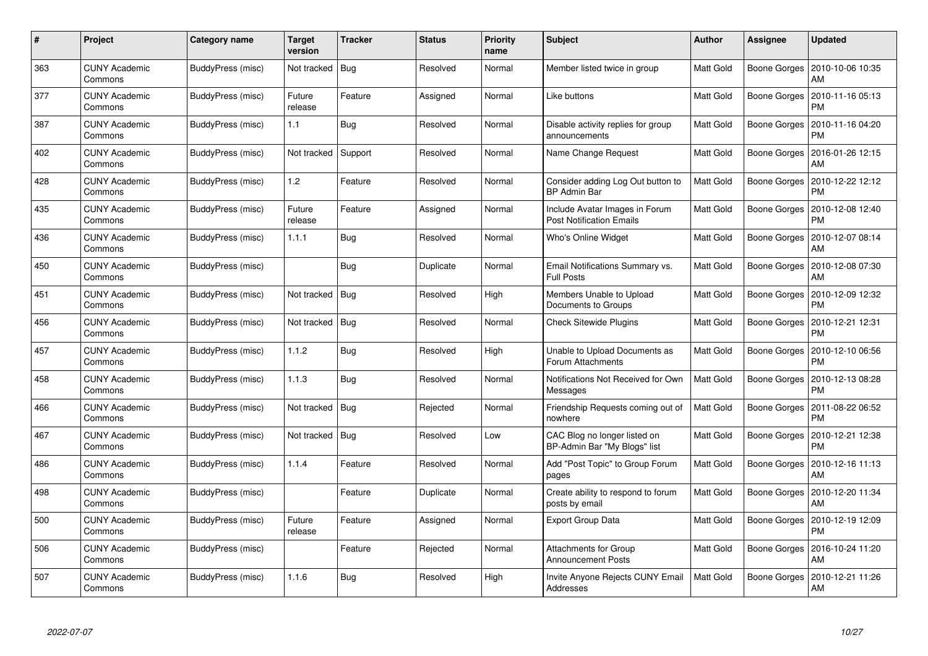| #   | Project                         | Category name     | Target<br>version | <b>Tracker</b> | <b>Status</b> | <b>Priority</b><br>name | <b>Subject</b>                                                    | <b>Author</b>    | Assignee            | <b>Updated</b>                               |
|-----|---------------------------------|-------------------|-------------------|----------------|---------------|-------------------------|-------------------------------------------------------------------|------------------|---------------------|----------------------------------------------|
| 363 | <b>CUNY Academic</b><br>Commons | BuddyPress (misc) | Not tracked       | Bug            | Resolved      | Normal                  | Member listed twice in group                                      | Matt Gold        |                     | Boone Gorges   2010-10-06 10:35<br>AM        |
| 377 | <b>CUNY Academic</b><br>Commons | BuddyPress (misc) | Future<br>release | Feature        | Assigned      | Normal                  | Like buttons                                                      | Matt Gold        | <b>Boone Gorges</b> | 2010-11-16 05:13<br><b>PM</b>                |
| 387 | <b>CUNY Academic</b><br>Commons | BuddyPress (misc) | 1.1               | <b>Bug</b>     | Resolved      | Normal                  | Disable activity replies for group<br>announcements               | <b>Matt Gold</b> | <b>Boone Gorges</b> | 2010-11-16 04:20<br><b>PM</b>                |
| 402 | <b>CUNY Academic</b><br>Commons | BuddyPress (misc) | Not tracked       | Support        | Resolved      | Normal                  | Name Change Request                                               | Matt Gold        | Boone Gorges        | 2016-01-26 12:15<br>AM                       |
| 428 | <b>CUNY Academic</b><br>Commons | BuddyPress (misc) | 1.2               | Feature        | Resolved      | Normal                  | Consider adding Log Out button to<br><b>BP Admin Bar</b>          | Matt Gold        |                     | Boone Gorges   2010-12-22 12:12<br><b>PM</b> |
| 435 | <b>CUNY Academic</b><br>Commons | BuddyPress (misc) | Future<br>release | Feature        | Assigned      | Normal                  | Include Avatar Images in Forum<br><b>Post Notification Emails</b> | Matt Gold        | Boone Gorges        | 2010-12-08 12:40<br><b>PM</b>                |
| 436 | <b>CUNY Academic</b><br>Commons | BuddyPress (misc) | 1.1.1             | <b>Bug</b>     | Resolved      | Normal                  | <b>Who's Online Widget</b>                                        | <b>Matt Gold</b> | Boone Gorges        | 2010-12-07 08:14<br>AM                       |
| 450 | <b>CUNY Academic</b><br>Commons | BuddyPress (misc) |                   | Bug            | Duplicate     | Normal                  | Email Notifications Summary vs.<br><b>Full Posts</b>              | Matt Gold        | Boone Gorges        | 2010-12-08 07:30<br>AM                       |
| 451 | <b>CUNY Academic</b><br>Commons | BuddyPress (misc) | Not tracked       | Bug            | Resolved      | High                    | Members Unable to Upload<br>Documents to Groups                   | Matt Gold        | Boone Gorges        | 2010-12-09 12:32<br><b>PM</b>                |
| 456 | <b>CUNY Academic</b><br>Commons | BuddyPress (misc) | Not tracked       | <b>Bug</b>     | Resolved      | Normal                  | <b>Check Sitewide Plugins</b>                                     | Matt Gold        | <b>Boone Gorges</b> | 2010-12-21 12:31<br><b>PM</b>                |
| 457 | <b>CUNY Academic</b><br>Commons | BuddyPress (misc) | 1.1.2             | <b>Bug</b>     | Resolved      | High                    | Unable to Upload Documents as<br>Forum Attachments                | Matt Gold        | <b>Boone Gorges</b> | 2010-12-10 06:56<br><b>PM</b>                |
| 458 | <b>CUNY Academic</b><br>Commons | BuddyPress (misc) | 1.1.3             | Bug            | Resolved      | Normal                  | Notifications Not Received for Own<br>Messages                    | Matt Gold        | Boone Gorges        | 2010-12-13 08:28<br><b>PM</b>                |
| 466 | <b>CUNY Academic</b><br>Commons | BuddyPress (misc) | Not tracked       | <b>Bug</b>     | Rejected      | Normal                  | Friendship Requests coming out of<br>nowhere                      | Matt Gold        | Boone Gorges        | 2011-08-22 06:52<br><b>PM</b>                |
| 467 | <b>CUNY Academic</b><br>Commons | BuddyPress (misc) | Not tracked       | Bug            | Resolved      | Low                     | CAC Blog no longer listed on<br>BP-Admin Bar "My Blogs" list      | Matt Gold        | Boone Gorges        | 2010-12-21 12:38<br><b>PM</b>                |
| 486 | <b>CUNY Academic</b><br>Commons | BuddyPress (misc) | 1.1.4             | Feature        | Resolved      | Normal                  | Add "Post Topic" to Group Forum<br>pages                          | Matt Gold        | Boone Gorges        | 2010-12-16 11:13<br>AM                       |
| 498 | <b>CUNY Academic</b><br>Commons | BuddyPress (misc) |                   | Feature        | Duplicate     | Normal                  | Create ability to respond to forum<br>posts by email              | Matt Gold        |                     | Boone Gorges   2010-12-20 11:34<br>AM        |
| 500 | <b>CUNY Academic</b><br>Commons | BuddyPress (misc) | Future<br>release | Feature        | Assigned      | Normal                  | <b>Export Group Data</b>                                          | Matt Gold        | Boone Gorges        | 2010-12-19 12:09<br><b>PM</b>                |
| 506 | <b>CUNY Academic</b><br>Commons | BuddyPress (misc) |                   | Feature        | Rejected      | Normal                  | <b>Attachments for Group</b><br><b>Announcement Posts</b>         | Matt Gold        | Boone Gorges        | 2016-10-24 11:20<br>AM                       |
| 507 | CUNY Academic<br>Commons        | BuddyPress (misc) | 1.1.6             | Bug            | Resolved      | High                    | Invite Anyone Rejects CUNY Email<br>Addresses                     | <b>Matt Gold</b> | Boone Gorges        | 2010-12-21 11:26<br>AM                       |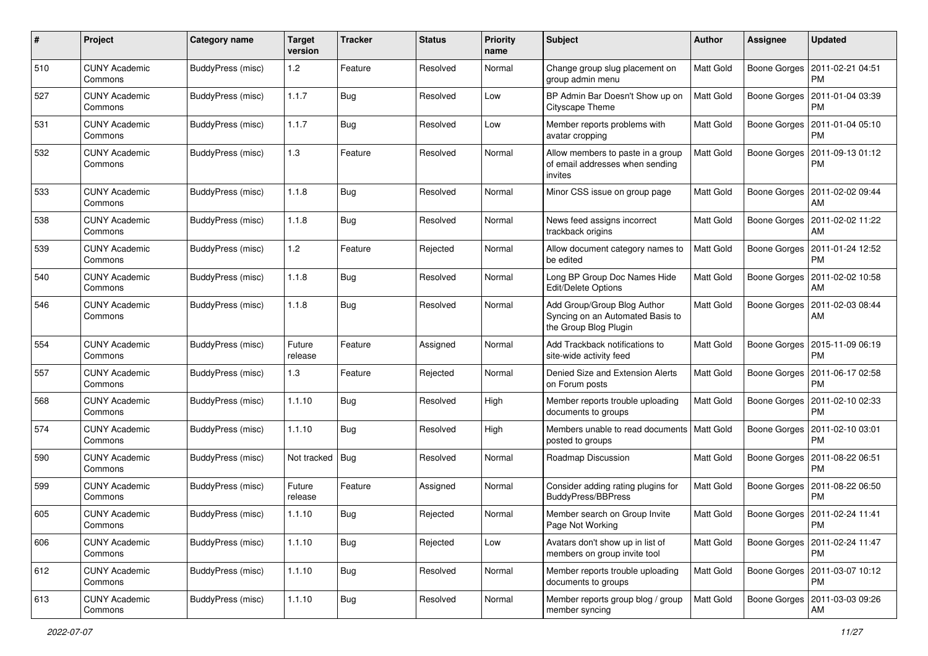| #   | Project                         | <b>Category name</b>     | <b>Target</b><br>version | <b>Tracker</b> | <b>Status</b> | <b>Priority</b><br>name | <b>Subject</b>                                                                           | Author           | <b>Assignee</b> | <b>Updated</b>                               |
|-----|---------------------------------|--------------------------|--------------------------|----------------|---------------|-------------------------|------------------------------------------------------------------------------------------|------------------|-----------------|----------------------------------------------|
| 510 | <b>CUNY Academic</b><br>Commons | <b>BuddyPress (misc)</b> | 1.2                      | Feature        | Resolved      | Normal                  | Change group slug placement on<br>group admin menu                                       | Matt Gold        | Boone Gorges    | 2011-02-21 04:51<br>PM                       |
| 527 | <b>CUNY Academic</b><br>Commons | BuddyPress (misc)        | 1.1.7                    | Bug            | Resolved      | Low                     | BP Admin Bar Doesn't Show up on<br>Cityscape Theme                                       | Matt Gold        | Boone Gorges    | 2011-01-04 03:39<br><b>PM</b>                |
| 531 | CUNY Academic<br>Commons        | BuddyPress (misc)        | 1.1.7                    | Bug            | Resolved      | Low                     | Member reports problems with<br>avatar cropping                                          | <b>Matt Gold</b> | Boone Gorges    | 2011-01-04 05:10<br>PM                       |
| 532 | <b>CUNY Academic</b><br>Commons | BuddyPress (misc)        | 1.3                      | Feature        | Resolved      | Normal                  | Allow members to paste in a group<br>of email addresses when sending<br>invites          | Matt Gold        | Boone Gorges    | 2011-09-13 01:12<br>PM                       |
| 533 | <b>CUNY Academic</b><br>Commons | BuddyPress (misc)        | 1.1.8                    | Bug            | Resolved      | Normal                  | Minor CSS issue on group page                                                            | Matt Gold        | Boone Gorges    | 2011-02-02 09:44<br>AM                       |
| 538 | <b>CUNY Academic</b><br>Commons | BuddyPress (misc)        | 1.1.8                    | Bug            | Resolved      | Normal                  | News feed assigns incorrect<br>trackback origins                                         | <b>Matt Gold</b> | Boone Gorges    | 2011-02-02 11:22<br>AM                       |
| 539 | <b>CUNY Academic</b><br>Commons | BuddyPress (misc)        | 1.2                      | Feature        | Rejected      | Normal                  | Allow document category names to<br>be edited                                            | <b>Matt Gold</b> |                 | Boone Gorges   2011-01-24 12:52<br><b>PM</b> |
| 540 | <b>CUNY Academic</b><br>Commons | BuddyPress (misc)        | 1.1.8                    | Bug            | Resolved      | Normal                  | Long BP Group Doc Names Hide<br><b>Edit/Delete Options</b>                               | <b>Matt Gold</b> | Boone Gorges    | 2011-02-02 10:58<br>AM                       |
| 546 | <b>CUNY Academic</b><br>Commons | BuddyPress (misc)        | 1.1.8                    | <b>Bug</b>     | Resolved      | Normal                  | Add Group/Group Blog Author<br>Syncing on an Automated Basis to<br>the Group Blog Plugin | Matt Gold        | Boone Gorges    | 2011-02-03 08:44<br>AM                       |
| 554 | <b>CUNY Academic</b><br>Commons | BuddyPress (misc)        | Future<br>release        | Feature        | Assigned      | Normal                  | Add Trackback notifications to<br>site-wide activity feed                                | <b>Matt Gold</b> | Boone Gorges    | 2015-11-09 06:19<br>PM                       |
| 557 | <b>CUNY Academic</b><br>Commons | <b>BuddyPress</b> (misc) | 1.3                      | Feature        | Rejected      | Normal                  | Denied Size and Extension Alerts<br>on Forum posts                                       | Matt Gold        | Boone Gorges    | 2011-06-17 02:58<br><b>PM</b>                |
| 568 | <b>CUNY Academic</b><br>Commons | BuddyPress (misc)        | 1.1.10                   | Bug            | Resolved      | High                    | Member reports trouble uploading<br>documents to groups                                  | <b>Matt Gold</b> | Boone Gorges    | 2011-02-10 02:33<br><b>PM</b>                |
| 574 | <b>CUNY Academic</b><br>Commons | BuddyPress (misc)        | 1.1.10                   | Bug            | Resolved      | High                    | Members unable to read documents   Matt Gold<br>posted to groups                         |                  | Boone Gorges    | 2011-02-10 03:01<br><b>PM</b>                |
| 590 | <b>CUNY Academic</b><br>Commons | BuddyPress (misc)        | Not tracked              | Bug            | Resolved      | Normal                  | Roadmap Discussion                                                                       | Matt Gold        | Boone Gorges    | 2011-08-22 06:51<br><b>PM</b>                |
| 599 | <b>CUNY Academic</b><br>Commons | BuddyPress (misc)        | Future<br>release        | Feature        | Assigned      | Normal                  | Consider adding rating plugins for<br>BuddyPress/BBPress                                 | <b>Matt Gold</b> | Boone Gorges    | 2011-08-22 06:50<br><b>PM</b>                |
| 605 | <b>CUNY Academic</b><br>Commons | <b>BuddyPress</b> (misc) | 1.1.10                   | <b>Bug</b>     | Rejected      | Normal                  | Member search on Group Invite<br>Page Not Working                                        | <b>Matt Gold</b> |                 | Boone Gorges   2011-02-24 11:41<br>PM        |
| 606 | <b>CUNY Academic</b><br>Commons | BuddyPress (misc)        | 1.1.10                   | <b>Bug</b>     | Rejected      | Low                     | Avatars don't show up in list of<br>members on group invite tool                         | <b>Matt Gold</b> |                 | Boone Gorges   2011-02-24 11:47<br><b>PM</b> |
| 612 | <b>CUNY Academic</b><br>Commons | <b>BuddyPress (misc)</b> | 1.1.10                   | <b>Bug</b>     | Resolved      | Normal                  | Member reports trouble uploading<br>documents to groups                                  | Matt Gold        |                 | Boone Gorges   2011-03-07 10:12<br><b>PM</b> |
| 613 | <b>CUNY Academic</b><br>Commons | BuddyPress (misc)        | 1.1.10                   | <b>Bug</b>     | Resolved      | Normal                  | Member reports group blog / group<br>member syncing                                      | <b>Matt Gold</b> |                 | Boone Gorges   2011-03-03 09:26<br>АM        |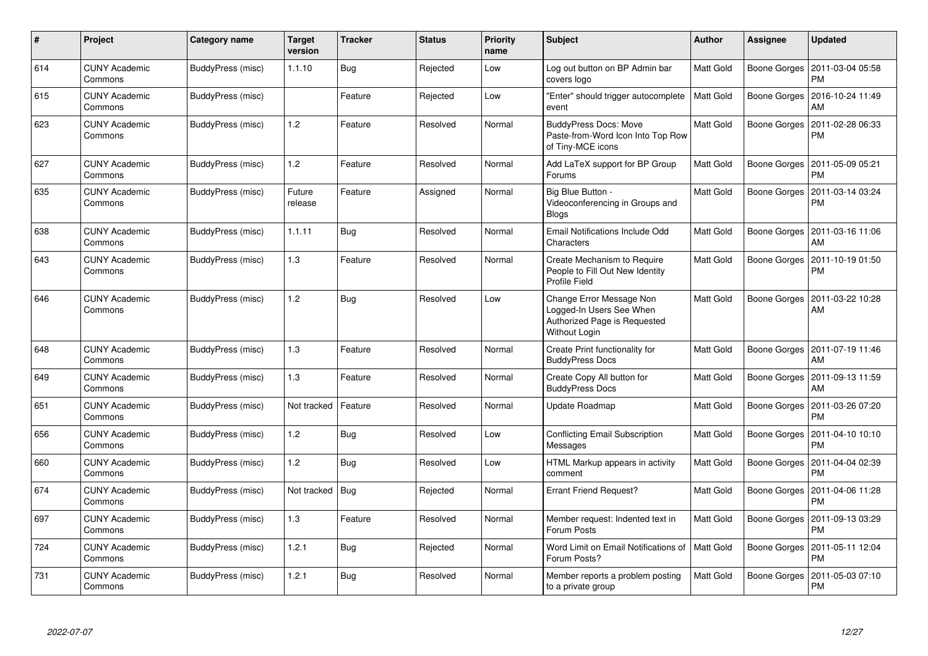| #   | Project                         | Category name     | <b>Target</b><br>version | <b>Tracker</b> | <b>Status</b> | <b>Priority</b><br>name | <b>Subject</b>                                                                                        | <b>Author</b>    | Assignee            | <b>Updated</b>                |
|-----|---------------------------------|-------------------|--------------------------|----------------|---------------|-------------------------|-------------------------------------------------------------------------------------------------------|------------------|---------------------|-------------------------------|
| 614 | <b>CUNY Academic</b><br>Commons | BuddyPress (misc) | 1.1.10                   | <b>Bug</b>     | Rejected      | Low                     | Log out button on BP Admin bar<br>covers logo                                                         | Matt Gold        | Boone Gorges        | 2011-03-04 05:58<br><b>PM</b> |
| 615 | <b>CUNY Academic</b><br>Commons | BuddyPress (misc) |                          | Feature        | Rejected      | Low                     | 'Enter" should trigger autocomplete<br>event                                                          | <b>Matt Gold</b> | Boone Gorges        | 2016-10-24 11:49<br>AM        |
| 623 | <b>CUNY Academic</b><br>Commons | BuddyPress (misc) | $1.2$                    | Feature        | Resolved      | Normal                  | <b>BuddyPress Docs: Move</b><br>Paste-from-Word Icon Into Top Row<br>of Tiny-MCE icons                | <b>Matt Gold</b> | <b>Boone Gorges</b> | 2011-02-28 06:33<br>PM        |
| 627 | <b>CUNY Academic</b><br>Commons | BuddyPress (misc) | 1.2                      | Feature        | Resolved      | Normal                  | Add LaTeX support for BP Group<br>Forums                                                              | <b>Matt Gold</b> | Boone Gorges        | 2011-05-09 05:21<br><b>PM</b> |
| 635 | <b>CUNY Academic</b><br>Commons | BuddyPress (misc) | Future<br>release        | Feature        | Assigned      | Normal                  | Big Blue Button -<br>Videoconferencing in Groups and<br><b>Blogs</b>                                  | Matt Gold        | Boone Gorges        | 2011-03-14 03:24<br>PM        |
| 638 | <b>CUNY Academic</b><br>Commons | BuddyPress (misc) | 1.1.11                   | Bug            | Resolved      | Normal                  | Email Notifications Include Odd<br>Characters                                                         | Matt Gold        | Boone Gorges        | 2011-03-16 11:06<br>AM        |
| 643 | <b>CUNY Academic</b><br>Commons | BuddyPress (misc) | 1.3                      | Feature        | Resolved      | Normal                  | Create Mechanism to Require<br>People to Fill Out New Identity<br><b>Profile Field</b>                | Matt Gold        | Boone Gorges        | 2011-10-19 01:50<br>PM        |
| 646 | <b>CUNY Academic</b><br>Commons | BuddyPress (misc) | 1.2                      | <b>Bug</b>     | Resolved      | Low                     | Change Error Message Non<br>Logged-In Users See When<br>Authorized Page is Requested<br>Without Login | Matt Gold        | Boone Gorges        | 2011-03-22 10:28<br>AM        |
| 648 | <b>CUNY Academic</b><br>Commons | BuddyPress (misc) | 1.3                      | Feature        | Resolved      | Normal                  | Create Print functionality for<br><b>BuddyPress Docs</b>                                              | Matt Gold        | Boone Gorges        | 2011-07-19 11:46<br>AM        |
| 649 | <b>CUNY Academic</b><br>Commons | BuddyPress (misc) | 1.3                      | Feature        | Resolved      | Normal                  | Create Copy All button for<br><b>BuddyPress Docs</b>                                                  | Matt Gold        | Boone Gorges        | 2011-09-13 11:59<br>AM        |
| 651 | <b>CUNY Academic</b><br>Commons | BuddyPress (misc) | Not tracked              | Feature        | Resolved      | Normal                  | Update Roadmap                                                                                        | Matt Gold        | Boone Gorges        | 2011-03-26 07:20<br><b>PM</b> |
| 656 | <b>CUNY Academic</b><br>Commons | BuddyPress (misc) | $1.2$                    | <b>Bug</b>     | Resolved      | Low                     | <b>Conflicting Email Subscription</b><br>Messages                                                     | <b>Matt Gold</b> | Boone Gorges        | 2011-04-10 10:10<br><b>PM</b> |
| 660 | <b>CUNY Academic</b><br>Commons | BuddyPress (misc) | 1.2                      | Bug            | Resolved      | Low                     | HTML Markup appears in activity<br>comment                                                            | <b>Matt Gold</b> | Boone Gorges        | 2011-04-04 02:39<br><b>PM</b> |
| 674 | <b>CUNY Academic</b><br>Commons | BuddyPress (misc) | Not tracked              | <b>Bug</b>     | Rejected      | Normal                  | <b>Errant Friend Request?</b>                                                                         | Matt Gold        | Boone Gorges        | 2011-04-06 11:28<br><b>PM</b> |
| 697 | <b>CUNY Academic</b><br>Commons | BuddyPress (misc) | 1.3                      | Feature        | Resolved      | Normal                  | Member request: Indented text in<br>Forum Posts                                                       | Matt Gold        | Boone Gorges        | 2011-09-13 03:29<br><b>PM</b> |
| 724 | <b>CUNY Academic</b><br>Commons | BuddyPress (misc) | 1.2.1                    | <b>Bug</b>     | Rejected      | Normal                  | Word Limit on Email Notifications of<br>Forum Posts?                                                  | Matt Gold        | Boone Gorges        | 2011-05-11 12:04<br><b>PM</b> |
| 731 | CUNY Academic<br>Commons        | BuddyPress (misc) | 1.2.1                    | <b>Bug</b>     | Resolved      | Normal                  | Member reports a problem posting<br>to a private group                                                | Matt Gold        | Boone Gorges        | 2011-05-03 07:10<br><b>PM</b> |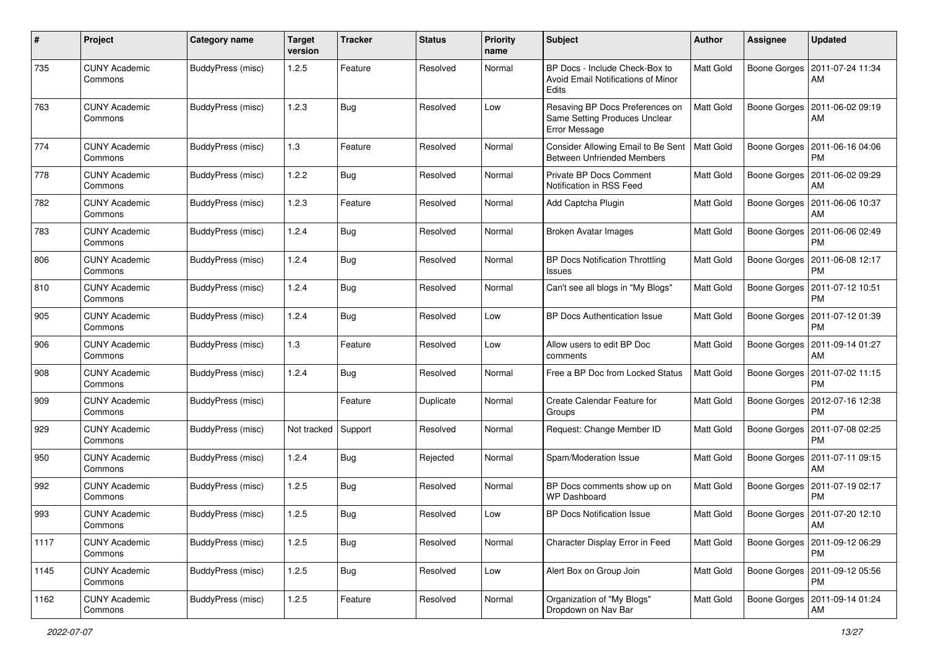| $\pmb{\#}$ | Project                         | <b>Category name</b> | <b>Target</b><br>version | <b>Tracker</b> | <b>Status</b> | <b>Priority</b><br>name | Subject                                                                              | Author    | Assignee     | <b>Updated</b>                               |
|------------|---------------------------------|----------------------|--------------------------|----------------|---------------|-------------------------|--------------------------------------------------------------------------------------|-----------|--------------|----------------------------------------------|
| 735        | <b>CUNY Academic</b><br>Commons | BuddyPress (misc)    | 1.2.5                    | Feature        | Resolved      | Normal                  | BP Docs - Include Check-Box to<br><b>Avoid Email Notifications of Minor</b><br>Edits | Matt Gold | Boone Gorges | 2011-07-24 11:34<br>AM                       |
| 763        | <b>CUNY Academic</b><br>Commons | BuddyPress (misc)    | 1.2.3                    | <b>Bug</b>     | Resolved      | Low                     | Resaving BP Docs Preferences on<br>Same Setting Produces Unclear<br>Error Message    | Matt Gold | Boone Gorges | 2011-06-02 09:19<br>AM                       |
| 774        | <b>CUNY Academic</b><br>Commons | BuddyPress (misc)    | $1.3$                    | Feature        | Resolved      | Normal                  | Consider Allowing Email to Be Sent<br><b>Between Unfriended Members</b>              | Matt Gold | Boone Gorges | 2011-06-16 04:06<br><b>PM</b>                |
| 778        | <b>CUNY Academic</b><br>Commons | BuddyPress (misc)    | 1.2.2                    | Bug            | Resolved      | Normal                  | Private BP Docs Comment<br>Notification in RSS Feed                                  | Matt Gold | Boone Gorges | 2011-06-02 09:29<br>AM                       |
| 782        | <b>CUNY Academic</b><br>Commons | BuddyPress (misc)    | 1.2.3                    | Feature        | Resolved      | Normal                  | Add Captcha Plugin                                                                   | Matt Gold | Boone Gorges | 2011-06-06 10:37<br>AM                       |
| 783        | <b>CUNY Academic</b><br>Commons | BuddyPress (misc)    | 1.2.4                    | <b>Bug</b>     | Resolved      | Normal                  | <b>Broken Avatar Images</b>                                                          | Matt Gold | Boone Gorges | 2011-06-06 02:49<br><b>PM</b>                |
| 806        | <b>CUNY Academic</b><br>Commons | BuddyPress (misc)    | 1.2.4                    | Bug            | Resolved      | Normal                  | <b>BP Docs Notification Throttling</b><br><b>Issues</b>                              | Matt Gold | Boone Gorges | 2011-06-08 12:17<br><b>PM</b>                |
| 810        | <b>CUNY Academic</b><br>Commons | BuddyPress (misc)    | 1.2.4                    | Bug            | Resolved      | Normal                  | Can't see all blogs in "My Blogs"                                                    | Matt Gold | Boone Gorges | 2011-07-12 10:51<br><b>PM</b>                |
| 905        | <b>CUNY Academic</b><br>Commons | BuddyPress (misc)    | 1.2.4                    | Bug            | Resolved      | Low                     | <b>BP Docs Authentication Issue</b>                                                  | Matt Gold | Boone Gorges | 2011-07-12 01:39<br><b>PM</b>                |
| 906        | <b>CUNY Academic</b><br>Commons | BuddyPress (misc)    | 1.3                      | Feature        | Resolved      | Low                     | Allow users to edit BP Doc<br>comments                                               | Matt Gold | Boone Gorges | 2011-09-14 01:27<br>AM                       |
| 908        | <b>CUNY Academic</b><br>Commons | BuddyPress (misc)    | 1.2.4                    | Bug            | Resolved      | Normal                  | Free a BP Doc from Locked Status                                                     | Matt Gold | Boone Gorges | 2011-07-02 11:15<br><b>PM</b>                |
| 909        | CUNY Academic<br>Commons        | BuddyPress (misc)    |                          | Feature        | Duplicate     | Normal                  | Create Calendar Feature for<br>Groups                                                | Matt Gold | Boone Gorges | 2012-07-16 12:38<br><b>PM</b>                |
| 929        | <b>CUNY Academic</b><br>Commons | BuddyPress (misc)    | Not tracked              | Support        | Resolved      | Normal                  | Request: Change Member ID                                                            | Matt Gold | Boone Gorges | 2011-07-08 02:25<br><b>PM</b>                |
| 950        | <b>CUNY Academic</b><br>Commons | BuddyPress (misc)    | 1.2.4                    | <b>Bug</b>     | Rejected      | Normal                  | Spam/Moderation Issue                                                                | Matt Gold | Boone Gorges | 2011-07-11 09:15<br>AM                       |
| 992        | <b>CUNY Academic</b><br>Commons | BuddyPress (misc)    | 1.2.5                    | Bug            | Resolved      | Normal                  | BP Docs comments show up on<br><b>WP Dashboard</b>                                   | Matt Gold |              | Boone Gorges   2011-07-19 02:17<br><b>PM</b> |
| 993        | <b>CUNY Academic</b><br>Commons | BuddyPress (misc)    | 1.2.5                    | Bug            | Resolved      | Low                     | <b>BP Docs Notification Issue</b>                                                    | Matt Gold |              | Boone Gorges   2011-07-20 12:10<br>AM        |
| 1117       | <b>CUNY Academic</b><br>Commons | BuddyPress (misc)    | 1.2.5                    | <b>Bug</b>     | Resolved      | Normal                  | Character Display Error in Feed                                                      | Matt Gold | Boone Gorges | 2011-09-12 06:29<br>PM                       |
| 1145       | <b>CUNY Academic</b><br>Commons | BuddyPress (misc)    | 1.2.5                    | Bug            | Resolved      | Low                     | Alert Box on Group Join                                                              | Matt Gold | Boone Gorges | 2011-09-12 05:56<br><b>PM</b>                |
| 1162       | <b>CUNY Academic</b><br>Commons | BuddyPress (misc)    | 1.2.5                    | Feature        | Resolved      | Normal                  | Organization of "My Blogs"<br>Dropdown on Nav Bar                                    | Matt Gold | Boone Gorges | 2011-09-14 01:24<br>AM                       |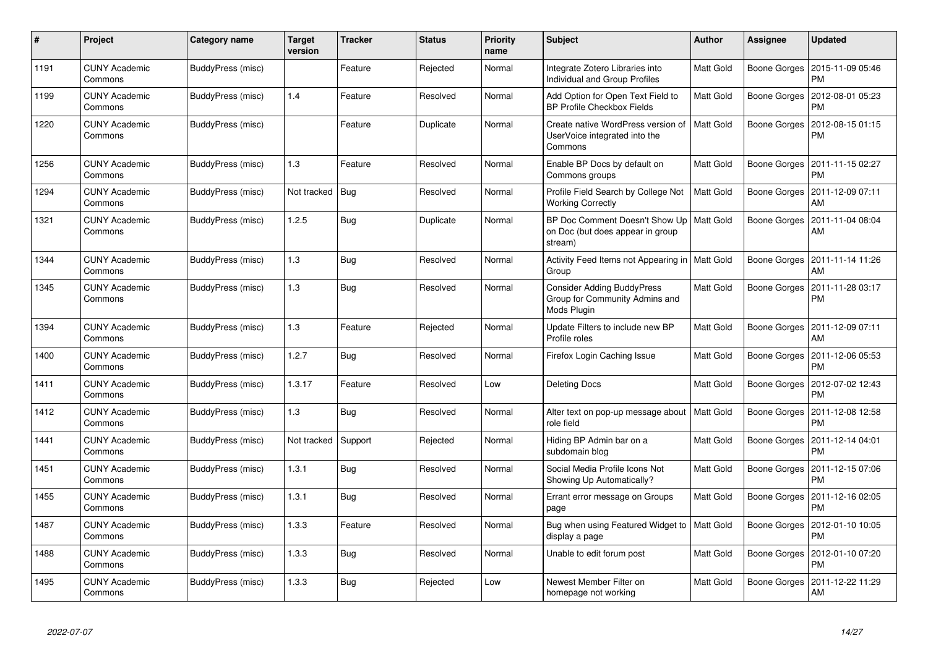| $\#$ | Project                         | Category name     | <b>Target</b><br>version | <b>Tracker</b> | <b>Status</b> | <b>Priority</b><br>name | <b>Subject</b>                                                                            | <b>Author</b>    | <b>Assignee</b> | <b>Updated</b>                |
|------|---------------------------------|-------------------|--------------------------|----------------|---------------|-------------------------|-------------------------------------------------------------------------------------------|------------------|-----------------|-------------------------------|
| 1191 | <b>CUNY Academic</b><br>Commons | BuddyPress (misc) |                          | Feature        | Rejected      | Normal                  | Integrate Zotero Libraries into<br>Individual and Group Profiles                          | Matt Gold        | Boone Gorges    | 2015-11-09 05:46<br>PM        |
| 1199 | <b>CUNY Academic</b><br>Commons | BuddyPress (misc) | 1.4                      | Feature        | Resolved      | Normal                  | Add Option for Open Text Field to<br><b>BP Profile Checkbox Fields</b>                    | <b>Matt Gold</b> | Boone Gorges    | 2012-08-01 05:23<br><b>PM</b> |
| 1220 | CUNY Academic<br>Commons        | BuddyPress (misc) |                          | Feature        | Duplicate     | Normal                  | Create native WordPress version of<br>UserVoice integrated into the<br>Commons            | Matt Gold        | Boone Gorges    | 2012-08-15 01:15<br>PM        |
| 1256 | <b>CUNY Academic</b><br>Commons | BuddyPress (misc) | 1.3                      | Feature        | Resolved      | Normal                  | Enable BP Docs by default on<br>Commons groups                                            | <b>Matt Gold</b> | Boone Gorges    | 2011-11-15 02:27<br><b>PM</b> |
| 1294 | <b>CUNY Academic</b><br>Commons | BuddyPress (misc) | Not tracked              | Bug            | Resolved      | Normal                  | Profile Field Search by College Not<br><b>Working Correctly</b>                           | <b>Matt Gold</b> | Boone Gorges    | 2011-12-09 07:11<br>AM        |
| 1321 | <b>CUNY Academic</b><br>Commons | BuddyPress (misc) | 1.2.5                    | <b>Bug</b>     | Duplicate     | Normal                  | BP Doc Comment Doesn't Show Up   Matt Gold<br>on Doc (but does appear in group<br>stream) |                  | Boone Gorges    | 2011-11-04 08:04<br>AM        |
| 1344 | <b>CUNY Academic</b><br>Commons | BuddyPress (misc) | 1.3                      | Bug            | Resolved      | Normal                  | Activity Feed Items not Appearing in   Matt Gold<br>Group                                 |                  | Boone Gorges    | 2011-11-14 11:26<br>AM        |
| 1345 | <b>CUNY Academic</b><br>Commons | BuddyPress (misc) | 1.3                      | Bug            | Resolved      | Normal                  | <b>Consider Adding BuddyPress</b><br>Group for Community Admins and<br>Mods Plugin        | Matt Gold        | Boone Gorges    | 2011-11-28 03:17<br><b>PM</b> |
| 1394 | <b>CUNY Academic</b><br>Commons | BuddyPress (misc) | 1.3                      | Feature        | Rejected      | Normal                  | Update Filters to include new BP<br>Profile roles                                         | Matt Gold        | Boone Gorges    | 2011-12-09 07:11<br>AM        |
| 1400 | <b>CUNY Academic</b><br>Commons | BuddyPress (misc) | 1.2.7                    | Bug            | Resolved      | Normal                  | Firefox Login Caching Issue                                                               | Matt Gold        | Boone Gorges    | 2011-12-06 05:53<br><b>PM</b> |
| 1411 | <b>CUNY Academic</b><br>Commons | BuddyPress (misc) | 1.3.17                   | Feature        | Resolved      | Low                     | <b>Deleting Docs</b>                                                                      | Matt Gold        | Boone Gorges    | 2012-07-02 12:43<br><b>PM</b> |
| 1412 | <b>CUNY Academic</b><br>Commons | BuddyPress (misc) | 1.3                      | Bug            | Resolved      | Normal                  | Alter text on pop-up message about<br>role field                                          | Matt Gold        | Boone Gorges    | 2011-12-08 12:58<br><b>PM</b> |
| 1441 | <b>CUNY Academic</b><br>Commons | BuddyPress (misc) | Not tracked              | Support        | Rejected      | Normal                  | Hiding BP Admin bar on a<br>subdomain blog                                                | Matt Gold        | Boone Gorges    | 2011-12-14 04:01<br><b>PM</b> |
| 1451 | <b>CUNY Academic</b><br>Commons | BuddyPress (misc) | 1.3.1                    | <b>Bug</b>     | Resolved      | Normal                  | Social Media Profile Icons Not<br>Showing Up Automatically?                               | <b>Matt Gold</b> | Boone Gorges    | 2011-12-15 07:06<br><b>PM</b> |
| 1455 | <b>CUNY Academic</b><br>Commons | BuddyPress (misc) | 1.3.1                    | <b>Bug</b>     | Resolved      | Normal                  | Errant error message on Groups<br>page                                                    | Matt Gold        | Boone Gorges    | 2011-12-16 02:05<br><b>PM</b> |
| 1487 | <b>CUNY Academic</b><br>Commons | BuddyPress (misc) | 1.3.3                    | Feature        | Resolved      | Normal                  | Bug when using Featured Widget to  <br>display a page                                     | <b>Matt Gold</b> | Boone Gorges    | 2012-01-10 10:05<br><b>PM</b> |
| 1488 | <b>CUNY Academic</b><br>Commons | BuddyPress (misc) | 1.3.3                    | Bug            | Resolved      | Normal                  | Unable to edit forum post                                                                 | Matt Gold        | Boone Gorges    | 2012-01-10 07:20<br><b>PM</b> |
| 1495 | CUNY Academic<br>Commons        | BuddyPress (misc) | 1.3.3                    | <b>Bug</b>     | Rejected      | Low                     | Newest Member Filter on<br>homepage not working                                           | Matt Gold        | Boone Gorges    | 2011-12-22 11:29<br>AM        |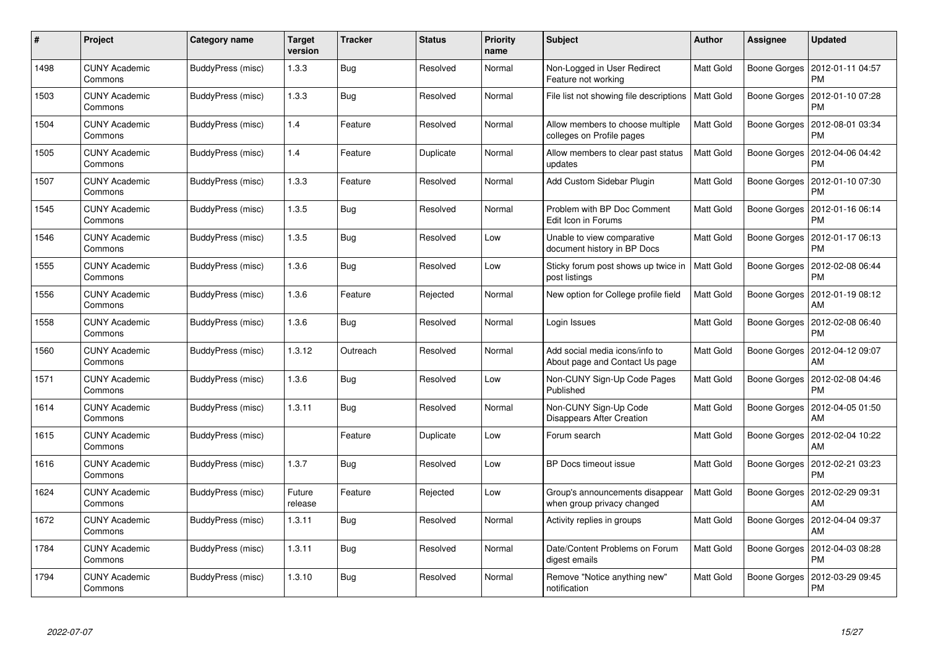| $\pmb{\#}$ | Project                         | Category name     | <b>Target</b><br>version | <b>Tracker</b> | <b>Status</b> | <b>Priority</b><br>name | <b>Subject</b>                                                   | <b>Author</b>    | Assignee     | <b>Updated</b>                |
|------------|---------------------------------|-------------------|--------------------------|----------------|---------------|-------------------------|------------------------------------------------------------------|------------------|--------------|-------------------------------|
| 1498       | <b>CUNY Academic</b><br>Commons | BuddyPress (misc) | 1.3.3                    | <b>Bug</b>     | Resolved      | Normal                  | Non-Logged in User Redirect<br>Feature not working               | <b>Matt Gold</b> | Boone Gorges | 2012-01-11 04:57<br><b>PM</b> |
| 1503       | <b>CUNY Academic</b><br>Commons | BuddyPress (misc) | 1.3.3                    | <b>Bug</b>     | Resolved      | Normal                  | File list not showing file descriptions   Matt Gold              |                  | Boone Gorges | 2012-01-10 07:28<br><b>PM</b> |
| 1504       | <b>CUNY Academic</b><br>Commons | BuddyPress (misc) | 1.4                      | Feature        | Resolved      | Normal                  | Allow members to choose multiple<br>colleges on Profile pages    | <b>Matt Gold</b> | Boone Gorges | 2012-08-01 03:34<br>PM        |
| 1505       | <b>CUNY Academic</b><br>Commons | BuddyPress (misc) | 1.4                      | Feature        | Duplicate     | Normal                  | Allow members to clear past status<br>updates                    | Matt Gold        | Boone Gorges | 2012-04-06 04:42<br>PM        |
| 1507       | <b>CUNY Academic</b><br>Commons | BuddyPress (misc) | 1.3.3                    | Feature        | Resolved      | Normal                  | Add Custom Sidebar Plugin                                        | <b>Matt Gold</b> | Boone Gorges | 2012-01-10 07:30<br>PM        |
| 1545       | <b>CUNY Academic</b><br>Commons | BuddyPress (misc) | 1.3.5                    | <b>Bug</b>     | Resolved      | Normal                  | Problem with BP Doc Comment<br>Edit Icon in Forums               | <b>Matt Gold</b> | Boone Gorges | 2012-01-16 06:14<br>PM        |
| 1546       | <b>CUNY Academic</b><br>Commons | BuddyPress (misc) | 1.3.5                    | Bug            | Resolved      | Low                     | Unable to view comparative<br>document history in BP Docs        | <b>Matt Gold</b> | Boone Gorges | 2012-01-17 06:13<br>PM        |
| 1555       | <b>CUNY Academic</b><br>Commons | BuddyPress (misc) | 1.3.6                    | Bug            | Resolved      | Low                     | Sticky forum post shows up twice in<br>post listings             | Matt Gold        | Boone Gorges | 2012-02-08 06:44<br><b>PM</b> |
| 1556       | <b>CUNY Academic</b><br>Commons | BuddyPress (misc) | 1.3.6                    | Feature        | Rejected      | Normal                  | New option for College profile field                             | <b>Matt Gold</b> | Boone Gorges | 2012-01-19 08:12<br>AM        |
| 1558       | <b>CUNY Academic</b><br>Commons | BuddyPress (misc) | 1.3.6                    | <b>Bug</b>     | Resolved      | Normal                  | Login Issues                                                     | Matt Gold        | Boone Gorges | 2012-02-08 06:40<br><b>PM</b> |
| 1560       | <b>CUNY Academic</b><br>Commons | BuddyPress (misc) | 1.3.12                   | Outreach       | Resolved      | Normal                  | Add social media icons/info to<br>About page and Contact Us page | Matt Gold        | Boone Gorges | 2012-04-12 09:07<br>AM        |
| 1571       | <b>CUNY Academic</b><br>Commons | BuddyPress (misc) | 1.3.6                    | Bug            | Resolved      | Low                     | Non-CUNY Sign-Up Code Pages<br>Published                         | <b>Matt Gold</b> | Boone Gorges | 2012-02-08 04:46<br>PМ        |
| 1614       | <b>CUNY Academic</b><br>Commons | BuddyPress (misc) | 1.3.11                   | Bug            | Resolved      | Normal                  | Non-CUNY Sign-Up Code<br>Disappears After Creation               | Matt Gold        | Boone Gorges | 2012-04-05 01:50<br>AM        |
| 1615       | <b>CUNY Academic</b><br>Commons | BuddyPress (misc) |                          | Feature        | Duplicate     | Low                     | Forum search                                                     | Matt Gold        | Boone Gorges | 2012-02-04 10:22<br>AM        |
| 1616       | <b>CUNY Academic</b><br>Commons | BuddyPress (misc) | 1.3.7                    | Bug            | Resolved      | Low                     | BP Docs timeout issue                                            | <b>Matt Gold</b> | Boone Gorges | 2012-02-21 03:23<br><b>PM</b> |
| 1624       | <b>CUNY Academic</b><br>Commons | BuddyPress (misc) | Future<br>release        | Feature        | Rejected      | Low                     | Group's announcements disappear<br>when group privacy changed    | <b>Matt Gold</b> | Boone Gorges | 2012-02-29 09:31<br>AM        |
| 1672       | <b>CUNY Academic</b><br>Commons | BuddyPress (misc) | 1.3.11                   | Bug            | Resolved      | Normal                  | Activity replies in groups                                       | Matt Gold        | Boone Gorges | 2012-04-04 09:37<br>AM        |
| 1784       | <b>CUNY Academic</b><br>Commons | BuddyPress (misc) | 1.3.11                   | <b>Bug</b>     | Resolved      | Normal                  | Date/Content Problems on Forum<br>digest emails                  | <b>Matt Gold</b> | Boone Gorges | 2012-04-03 08:28<br>PM        |
| 1794       | CUNY Academic<br>Commons        | BuddyPress (misc) | 1.3.10                   | Bug            | Resolved      | Normal                  | Remove "Notice anything new"<br>notification                     | Matt Gold        | Boone Gorges | 2012-03-29 09:45<br>PM        |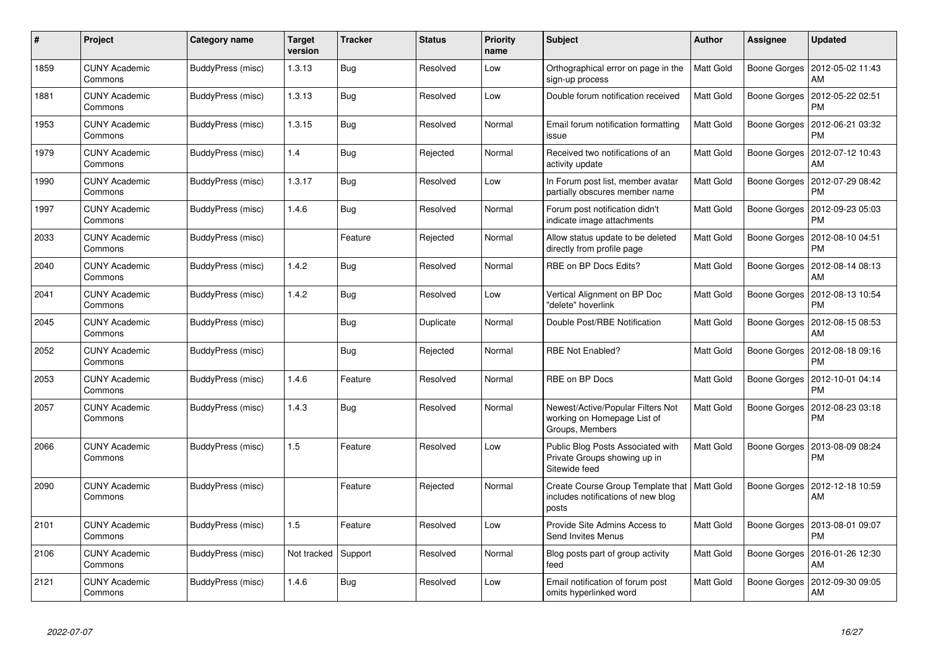| $\#$ | Project                         | Category name     | <b>Target</b><br>version | <b>Tracker</b> | <b>Status</b> | <b>Priority</b><br>name | <b>Subject</b>                                                                               | <b>Author</b>    | <b>Assignee</b>     | <b>Updated</b>                |
|------|---------------------------------|-------------------|--------------------------|----------------|---------------|-------------------------|----------------------------------------------------------------------------------------------|------------------|---------------------|-------------------------------|
| 1859 | <b>CUNY Academic</b><br>Commons | BuddyPress (misc) | 1.3.13                   | Bug            | Resolved      | Low                     | Orthographical error on page in the<br>sign-up process                                       | <b>Matt Gold</b> | Boone Gorges        | 2012-05-02 11:43<br>AM        |
| 1881 | <b>CUNY Academic</b><br>Commons | BuddyPress (misc) | 1.3.13                   | Bug            | Resolved      | Low                     | Double forum notification received                                                           | <b>Matt Gold</b> | Boone Gorges        | 2012-05-22 02:51<br><b>PM</b> |
| 1953 | <b>CUNY Academic</b><br>Commons | BuddyPress (misc) | 1.3.15                   | Bug            | Resolved      | Normal                  | Email forum notification formatting<br>issue                                                 | <b>Matt Gold</b> | <b>Boone Gorges</b> | 2012-06-21 03:32<br><b>PM</b> |
| 1979 | <b>CUNY Academic</b><br>Commons | BuddyPress (misc) | 1.4                      | Bug            | Rejected      | Normal                  | Received two notifications of an<br>activity update                                          | <b>Matt Gold</b> | Boone Gorges        | 2012-07-12 10:43<br>AM        |
| 1990 | <b>CUNY Academic</b><br>Commons | BuddyPress (misc) | 1.3.17                   | <b>Bug</b>     | Resolved      | Low                     | In Forum post list, member avatar<br>partially obscures member name                          | <b>Matt Gold</b> | Boone Gorges        | 2012-07-29 08:42<br><b>PM</b> |
| 1997 | <b>CUNY Academic</b><br>Commons | BuddyPress (misc) | 1.4.6                    | Bug            | Resolved      | Normal                  | Forum post notification didn't<br>indicate image attachments                                 | Matt Gold        | Boone Gorges        | 2012-09-23 05:03<br><b>PM</b> |
| 2033 | <b>CUNY Academic</b><br>Commons | BuddyPress (misc) |                          | Feature        | Rejected      | Normal                  | Allow status update to be deleted<br>directly from profile page                              | Matt Gold        | Boone Gorges        | 2012-08-10 04:51<br><b>PM</b> |
| 2040 | <b>CUNY Academic</b><br>Commons | BuddyPress (misc) | 1.4.2                    | <b>Bug</b>     | Resolved      | Normal                  | RBE on BP Docs Edits?                                                                        | Matt Gold        | Boone Gorges        | 2012-08-14 08:13<br>AM        |
| 2041 | <b>CUNY Academic</b><br>Commons | BuddyPress (misc) | 1.4.2                    | <b>Bug</b>     | Resolved      | Low                     | Vertical Alignment on BP Doc<br>'delete" hoverlink                                           | Matt Gold        | Boone Gorges        | 2012-08-13 10:54<br><b>PM</b> |
| 2045 | <b>CUNY Academic</b><br>Commons | BuddyPress (misc) |                          | Bug            | Duplicate     | Normal                  | Double Post/RBE Notification                                                                 | <b>Matt Gold</b> | Boone Gorges        | 2012-08-15 08:53<br>AM        |
| 2052 | <b>CUNY Academic</b><br>Commons | BuddyPress (misc) |                          | Bug            | Rejected      | Normal                  | <b>RBE Not Enabled?</b>                                                                      | <b>Matt Gold</b> | Boone Gorges        | 2012-08-18 09:16<br><b>PM</b> |
| 2053 | <b>CUNY Academic</b><br>Commons | BuddyPress (misc) | 1.4.6                    | Feature        | Resolved      | Normal                  | RBE on BP Docs                                                                               | Matt Gold        | Boone Gorges        | 2012-10-01 04:14<br><b>PM</b> |
| 2057 | <b>CUNY Academic</b><br>Commons | BuddyPress (misc) | 1.4.3                    | Bug            | Resolved      | Normal                  | Newest/Active/Popular Filters Not<br>working on Homepage List of<br>Groups, Members          | <b>Matt Gold</b> | Boone Gorges        | 2012-08-23 03:18<br>PM        |
| 2066 | <b>CUNY Academic</b><br>Commons | BuddyPress (misc) | 1.5                      | Feature        | Resolved      | Low                     | Public Blog Posts Associated with<br>Private Groups showing up in<br>Sitewide feed           | <b>Matt Gold</b> | Boone Gorges        | 2013-08-09 08:24<br>PM        |
| 2090 | <b>CUNY Academic</b><br>Commons | BuddyPress (misc) |                          | Feature        | Rejected      | Normal                  | Create Course Group Template that   Matt Gold<br>includes notifications of new blog<br>posts |                  | Boone Gorges        | 2012-12-18 10:59<br>AM        |
| 2101 | <b>CUNY Academic</b><br>Commons | BuddyPress (misc) | 1.5                      | Feature        | Resolved      | Low                     | Provide Site Admins Access to<br>Send Invites Menus                                          | <b>Matt Gold</b> | Boone Gorges        | 2013-08-01 09:07<br><b>PM</b> |
| 2106 | <b>CUNY Academic</b><br>Commons | BuddyPress (misc) | Not tracked              | Support        | Resolved      | Normal                  | Blog posts part of group activity<br>feed                                                    | <b>Matt Gold</b> | Boone Gorges        | 2016-01-26 12:30<br>AM        |
| 2121 | <b>CUNY Academic</b><br>Commons | BuddyPress (misc) | 1.4.6                    | <b>Bug</b>     | Resolved      | Low                     | Email notification of forum post<br>omits hyperlinked word                                   | Matt Gold        | Boone Gorges        | 2012-09-30 09:05<br>AM        |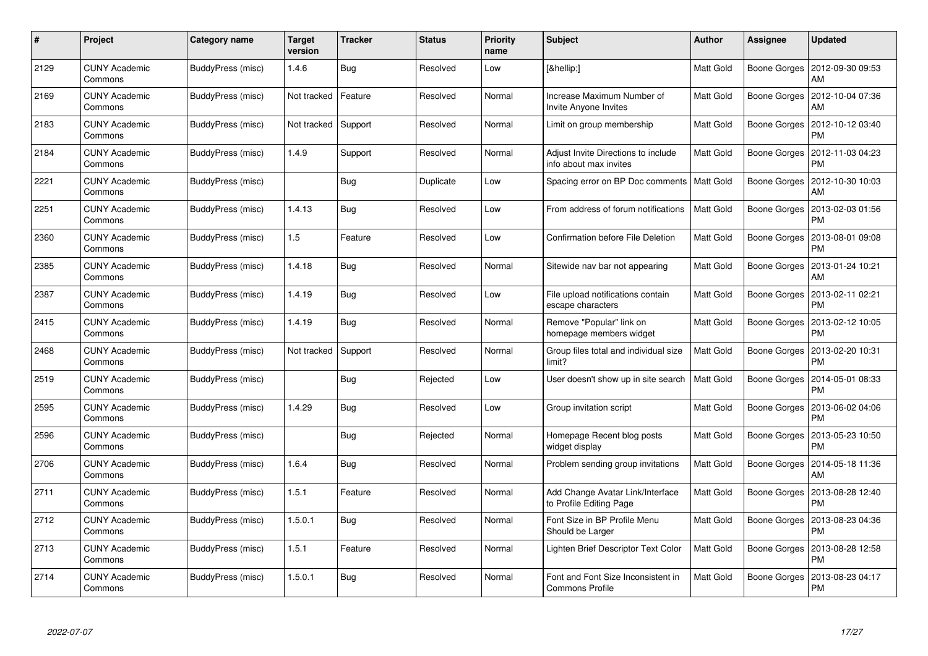| #    | Project                         | Category name     | <b>Target</b><br>version | <b>Tracker</b> | <b>Status</b> | <b>Priority</b><br>name | <b>Subject</b>                                                | <b>Author</b>    | Assignee            | Updated                               |
|------|---------------------------------|-------------------|--------------------------|----------------|---------------|-------------------------|---------------------------------------------------------------|------------------|---------------------|---------------------------------------|
| 2129 | <b>CUNY Academic</b><br>Commons | BuddyPress (misc) | 1.4.6                    | <b>Bug</b>     | Resolved      | Low                     | […]                                                           | Matt Gold        | Boone Gorges        | 2012-09-30 09:53<br>AM                |
| 2169 | <b>CUNY Academic</b><br>Commons | BuddyPress (misc) | Not tracked              | Feature        | Resolved      | Normal                  | Increase Maximum Number of<br>Invite Anyone Invites           | Matt Gold        | Boone Gorges        | 2012-10-04 07:36<br>AM                |
| 2183 | <b>CUNY Academic</b><br>Commons | BuddyPress (misc) | Not tracked              | Support        | Resolved      | Normal                  | Limit on group membership                                     | Matt Gold        | Boone Gorges        | 2012-10-12 03:40<br><b>PM</b>         |
| 2184 | <b>CUNY Academic</b><br>Commons | BuddyPress (misc) | 1.4.9                    | Support        | Resolved      | Normal                  | Adjust Invite Directions to include<br>info about max invites | Matt Gold        | Boone Gorges        | 2012-11-03 04:23<br>PM                |
| 2221 | <b>CUNY Academic</b><br>Commons | BuddyPress (misc) |                          | <b>Bug</b>     | Duplicate     | Low                     | Spacing error on BP Doc comments                              | Matt Gold        | Boone Gorges        | 2012-10-30 10:03<br>AM                |
| 2251 | <b>CUNY Academic</b><br>Commons | BuddyPress (misc) | 1.4.13                   | <b>Bug</b>     | Resolved      | Low                     | From address of forum notifications                           | <b>Matt Gold</b> | Boone Gorges        | 2013-02-03 01:56<br>PM                |
| 2360 | <b>CUNY Academic</b><br>Commons | BuddyPress (misc) | 1.5                      | Feature        | Resolved      | Low                     | <b>Confirmation before File Deletion</b>                      | Matt Gold        | Boone Gorges        | 2013-08-01 09:08<br><b>PM</b>         |
| 2385 | <b>CUNY Academic</b><br>Commons | BuddyPress (misc) | 1.4.18                   | <b>Bug</b>     | Resolved      | Normal                  | Sitewide nav bar not appearing                                | Matt Gold        |                     | Boone Gorges   2013-01-24 10:21<br>AM |
| 2387 | <b>CUNY Academic</b><br>Commons | BuddyPress (misc) | 1.4.19                   | <b>Bug</b>     | Resolved      | Low                     | File upload notifications contain<br>escape characters        | <b>Matt Gold</b> | Boone Gorges        | 2013-02-11 02:21<br><b>PM</b>         |
| 2415 | <b>CUNY Academic</b><br>Commons | BuddyPress (misc) | 1.4.19                   | Bug            | Resolved      | Normal                  | Remove "Popular" link on<br>homepage members widget           | Matt Gold        | Boone Gorges        | 2013-02-12 10:05<br>PM                |
| 2468 | <b>CUNY Academic</b><br>Commons | BuddyPress (misc) | Not tracked              | Support        | Resolved      | Normal                  | Group files total and individual size<br>limit?               | Matt Gold        | Boone Gorges        | 2013-02-20 10:31<br><b>PM</b>         |
| 2519 | <b>CUNY Academic</b><br>Commons | BuddyPress (misc) |                          | <b>Bug</b>     | Rejected      | Low                     | User doesn't show up in site search                           | <b>Matt Gold</b> | Boone Gorges        | 2014-05-01 08:33<br>PM                |
| 2595 | <b>CUNY Academic</b><br>Commons | BuddyPress (misc) | 1.4.29                   | Bug            | Resolved      | Low                     | Group invitation script                                       | Matt Gold        | Boone Gorges        | 2013-06-02 04:06<br><b>PM</b>         |
| 2596 | <b>CUNY Academic</b><br>Commons | BuddyPress (misc) |                          | Bug            | Rejected      | Normal                  | Homepage Recent blog posts<br>widget display                  | Matt Gold        | Boone Gorges        | 2013-05-23 10:50<br>PM                |
| 2706 | <b>CUNY Academic</b><br>Commons | BuddyPress (misc) | 1.6.4                    | <b>Bug</b>     | Resolved      | Normal                  | Problem sending group invitations                             | Matt Gold        | <b>Boone Gorges</b> | 2014-05-18 11:36<br>AM                |
| 2711 | <b>CUNY Academic</b><br>Commons | BuddyPress (misc) | 1.5.1                    | Feature        | Resolved      | Normal                  | Add Change Avatar Link/Interface<br>to Profile Editing Page   | <b>Matt Gold</b> | Boone Gorges        | 2013-08-28 12:40<br><b>PM</b>         |
| 2712 | <b>CUNY Academic</b><br>Commons | BuddyPress (misc) | 1.5.0.1                  | Bug            | Resolved      | Normal                  | Font Size in BP Profile Menu<br>Should be Larger              | Matt Gold        | Boone Gorges        | 2013-08-23 04:36<br><b>PM</b>         |
| 2713 | <b>CUNY Academic</b><br>Commons | BuddyPress (misc) | 1.5.1                    | Feature        | Resolved      | Normal                  | Lighten Brief Descriptor Text Color                           | Matt Gold        | Boone Gorges        | 2013-08-28 12:58<br><b>PM</b>         |
| 2714 | CUNY Academic<br>Commons        | BuddyPress (misc) | 1.5.0.1                  | <b>Bug</b>     | Resolved      | Normal                  | Font and Font Size Inconsistent in<br><b>Commons Profile</b>  | Matt Gold        | Boone Gorges        | 2013-08-23 04:17<br>PM                |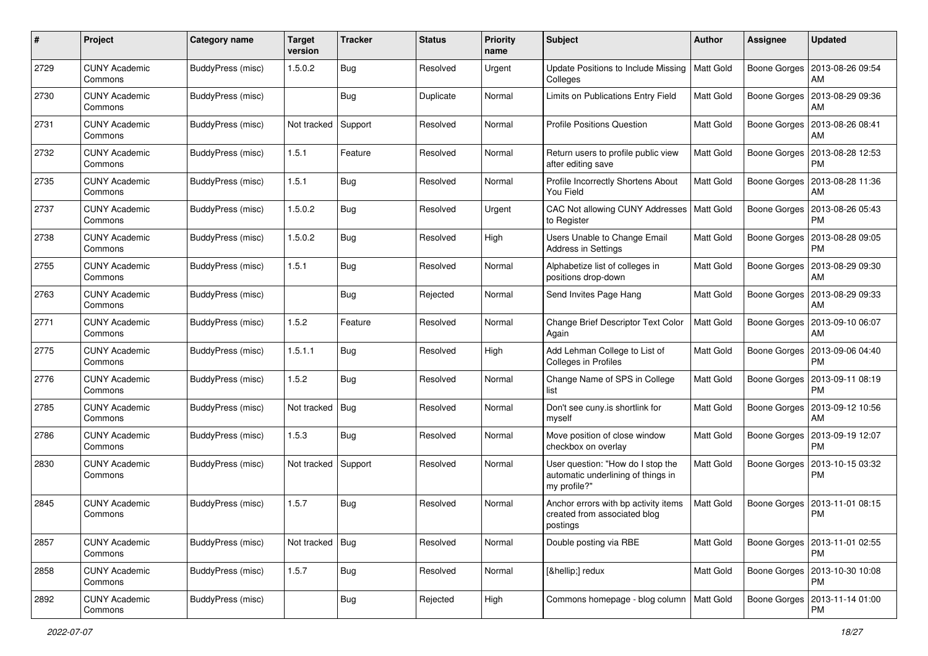| #    | Project                         | <b>Category name</b> | <b>Target</b><br>version | <b>Tracker</b> | <b>Status</b> | <b>Priority</b><br>name | Subject                                                                                 | Author           | <b>Assignee</b>     | <b>Updated</b>                               |
|------|---------------------------------|----------------------|--------------------------|----------------|---------------|-------------------------|-----------------------------------------------------------------------------------------|------------------|---------------------|----------------------------------------------|
| 2729 | <b>CUNY Academic</b><br>Commons | BuddyPress (misc)    | 1.5.0.2                  | <b>Bug</b>     | Resolved      | Urgent                  | Update Positions to Include Missing<br>Colleges                                         | Matt Gold        | Boone Gorges        | 2013-08-26 09:54<br>AM                       |
| 2730 | <b>CUNY Academic</b><br>Commons | BuddyPress (misc)    |                          | Bug            | Duplicate     | Normal                  | Limits on Publications Entry Field                                                      | <b>Matt Gold</b> | Boone Gorges        | 2013-08-29 09:36<br>AM                       |
| 2731 | <b>CUNY Academic</b><br>Commons | BuddyPress (misc)    | Not tracked              | Support        | Resolved      | Normal                  | <b>Profile Positions Question</b>                                                       | Matt Gold        | Boone Gorges        | 2013-08-26 08:41<br>AM                       |
| 2732 | <b>CUNY Academic</b><br>Commons | BuddyPress (misc)    | 1.5.1                    | Feature        | Resolved      | Normal                  | Return users to profile public view<br>after editing save                               | Matt Gold        | <b>Boone Gorges</b> | 2013-08-28 12:53<br><b>PM</b>                |
| 2735 | <b>CUNY Academic</b><br>Commons | BuddyPress (misc)    | 1.5.1                    | <b>Bug</b>     | Resolved      | Normal                  | Profile Incorrectly Shortens About<br>You Field                                         | Matt Gold        | Boone Gorges        | 2013-08-28 11:36<br>AM                       |
| 2737 | <b>CUNY Academic</b><br>Commons | BuddyPress (misc)    | 1.5.0.2                  | <b>Bug</b>     | Resolved      | Urgent                  | CAC Not allowing CUNY Addresses<br>to Register                                          | Matt Gold        | Boone Gorges        | 2013-08-26 05:43<br><b>PM</b>                |
| 2738 | <b>CUNY Academic</b><br>Commons | BuddyPress (misc)    | 1.5.0.2                  | Bug            | Resolved      | High                    | Users Unable to Change Email<br>Address in Settings                                     | Matt Gold        | Boone Gorges        | 2013-08-28 09:05<br><b>PM</b>                |
| 2755 | <b>CUNY Academic</b><br>Commons | BuddyPress (misc)    | 1.5.1                    | <b>Bug</b>     | Resolved      | Normal                  | Alphabetize list of colleges in<br>positions drop-down                                  | Matt Gold        | Boone Gorges        | 2013-08-29 09:30<br>AM                       |
| 2763 | <b>CUNY Academic</b><br>Commons | BuddyPress (misc)    |                          | Bug            | Rejected      | Normal                  | Send Invites Page Hang                                                                  | Matt Gold        |                     | Boone Gorges   2013-08-29 09:33<br>AM        |
| 2771 | <b>CUNY Academic</b><br>Commons | BuddyPress (misc)    | 1.5.2                    | Feature        | Resolved      | Normal                  | Change Brief Descriptor Text Color<br>Again                                             | Matt Gold        | Boone Gorges        | 2013-09-10 06:07<br>AM                       |
| 2775 | <b>CUNY Academic</b><br>Commons | BuddyPress (misc)    | 1.5.1.1                  | <b>Bug</b>     | Resolved      | High                    | Add Lehman College to List of<br>Colleges in Profiles                                   | Matt Gold        | <b>Boone Gorges</b> | 2013-09-06 04:40<br><b>PM</b>                |
| 2776 | <b>CUNY Academic</b><br>Commons | BuddyPress (misc)    | 1.5.2                    | Bug            | Resolved      | Normal                  | Change Name of SPS in College<br>list                                                   | Matt Gold        | Boone Gorges        | 2013-09-11 08:19<br><b>PM</b>                |
| 2785 | <b>CUNY Academic</b><br>Commons | BuddyPress (misc)    | Not tracked              | Bug            | Resolved      | Normal                  | Don't see cuny.is shortlink for<br>myself                                               | Matt Gold        | Boone Gorges        | 2013-09-12 10:56<br>AM                       |
| 2786 | <b>CUNY Academic</b><br>Commons | BuddyPress (misc)    | 1.5.3                    | <b>Bug</b>     | Resolved      | Normal                  | Move position of close window<br>checkbox on overlay                                    | Matt Gold        | Boone Gorges        | 2013-09-19 12:07<br><b>PM</b>                |
| 2830 | <b>CUNY Academic</b><br>Commons | BuddyPress (misc)    | Not tracked              | Support        | Resolved      | Normal                  | User question: "How do I stop the<br>automatic underlining of things in<br>my profile?" | Matt Gold        | <b>Boone Gorges</b> | 2013-10-15 03:32<br><b>PM</b>                |
| 2845 | <b>CUNY Academic</b><br>Commons | BuddyPress (misc)    | 1.5.7                    | <b>Bug</b>     | Resolved      | Normal                  | Anchor errors with bp activity items<br>created from associated blog<br>postings        | Matt Gold        | <b>Boone Gorges</b> | 2013-11-01 08:15<br><b>PM</b>                |
| 2857 | <b>CUNY Academic</b><br>Commons | BuddyPress (misc)    | Not tracked   Bug        |                | Resolved      | Normal                  | Double posting via RBE                                                                  | Matt Gold        | Boone Gorges        | 2013-11-01 02:55<br><b>PM</b>                |
| 2858 | <b>CUNY Academic</b><br>Commons | BuddyPress (misc)    | 1.5.7                    | Bug            | Resolved      | Normal                  | […] redux                                                                               | Matt Gold        |                     | Boone Gorges   2013-10-30 10:08<br><b>PM</b> |
| 2892 | <b>CUNY Academic</b><br>Commons | BuddyPress (misc)    |                          | <b>Bug</b>     | Rejected      | High                    | Commons homepage - blog column   Matt Gold                                              |                  |                     | Boone Gorges   2013-11-14 01:00<br><b>PM</b> |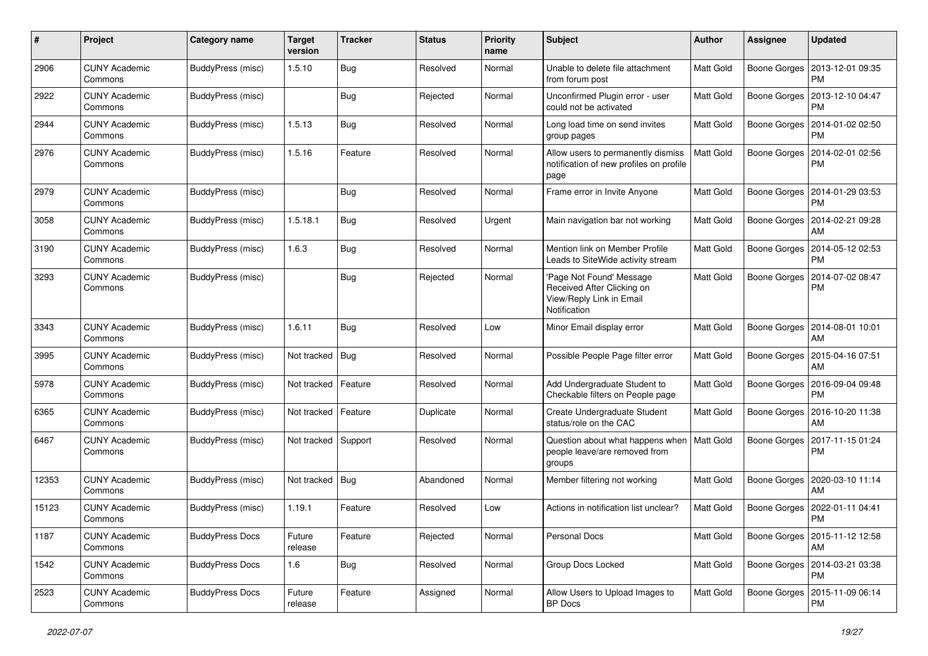| #     | Project                         | <b>Category name</b>     | <b>Target</b><br>version | <b>Tracker</b> | <b>Status</b> | <b>Priority</b><br>name | <b>Subject</b>                                                                                     | Author           | <b>Assignee</b> | <b>Updated</b>                               |
|-------|---------------------------------|--------------------------|--------------------------|----------------|---------------|-------------------------|----------------------------------------------------------------------------------------------------|------------------|-----------------|----------------------------------------------|
| 2906  | <b>CUNY Academic</b><br>Commons | <b>BuddyPress (misc)</b> | 1.5.10                   | <b>Bug</b>     | Resolved      | Normal                  | Unable to delete file attachment<br>from forum post                                                | Matt Gold        | Boone Gorges    | 2013-12-01 09:35<br><b>PM</b>                |
| 2922  | <b>CUNY Academic</b><br>Commons | BuddyPress (misc)        |                          | Bug            | Rejected      | Normal                  | Unconfirmed Plugin error - user<br>could not be activated                                          | <b>Matt Gold</b> |                 | Boone Gorges   2013-12-10 04:47<br><b>PM</b> |
| 2944  | <b>CUNY Academic</b><br>Commons | BuddyPress (misc)        | 1.5.13                   | Bug            | Resolved      | Normal                  | Long load time on send invites<br>group pages                                                      | <b>Matt Gold</b> | Boone Gorges    | 2014-01-02 02:50<br><b>PM</b>                |
| 2976  | <b>CUNY Academic</b><br>Commons | BuddyPress (misc)        | 1.5.16                   | Feature        | Resolved      | Normal                  | Allow users to permanently dismiss<br>notification of new profiles on profile<br>page              | Matt Gold        | Boone Gorges    | 2014-02-01 02:56<br>PM                       |
| 2979  | <b>CUNY Academic</b><br>Commons | BuddyPress (misc)        |                          | <b>Bug</b>     | Resolved      | Normal                  | Frame error in Invite Anyone                                                                       | Matt Gold        | Boone Gorges    | 2014-01-29 03:53<br>PM                       |
| 3058  | <b>CUNY Academic</b><br>Commons | BuddyPress (misc)        | 1.5.18.1                 | Bug            | Resolved      | Urgent                  | Main navigation bar not working                                                                    | <b>Matt Gold</b> | Boone Gorges    | 2014-02-21 09:28<br>AM                       |
| 3190  | <b>CUNY Academic</b><br>Commons | BuddyPress (misc)        | 1.6.3                    | Bug            | Resolved      | Normal                  | Mention link on Member Profile<br>Leads to SiteWide activity stream                                | Matt Gold        | Boone Gorges    | 2014-05-12 02:53<br>PM                       |
| 3293  | <b>CUNY Academic</b><br>Commons | BuddyPress (misc)        |                          | Bug            | Rejected      | Normal                  | 'Page Not Found' Message<br>Received After Clicking on<br>View/Reply Link in Email<br>Notification | <b>Matt Gold</b> | Boone Gorges    | 2014-07-02 08:47<br>PM                       |
| 3343  | <b>CUNY Academic</b><br>Commons | BuddyPress (misc)        | 1.6.11                   | Bug            | Resolved      | Low                     | Minor Email display error                                                                          | Matt Gold        | Boone Gorges    | 2014-08-01 10:01<br>AM                       |
| 3995  | CUNY Academic<br>Commons        | BuddyPress (misc)        | Not tracked              | Bug            | Resolved      | Normal                  | Possible People Page filter error                                                                  | <b>Matt Gold</b> | Boone Gorges    | 2015-04-16 07:51<br>AM                       |
| 5978  | <b>CUNY Academic</b><br>Commons | BuddyPress (misc)        | Not tracked              | Feature        | Resolved      | Normal                  | Add Undergraduate Student to<br>Checkable filters on People page                                   | Matt Gold        | Boone Gorges    | 2016-09-04 09:48<br>PM                       |
| 6365  | <b>CUNY Academic</b><br>Commons | BuddyPress (misc)        | Not tracked              | Feature        | Duplicate     | Normal                  | Create Undergraduate Student<br>status/role on the CAC                                             | <b>Matt Gold</b> | Boone Gorges    | 2016-10-20 11:38<br>AM                       |
| 6467  | <b>CUNY Academic</b><br>Commons | BuddyPress (misc)        | Not tracked              | Support        | Resolved      | Normal                  | Question about what happens when<br>people leave/are removed from<br>groups                        | Matt Gold        | Boone Gorges    | 2017-11-15 01:24<br>PM                       |
| 12353 | <b>CUNY Academic</b><br>Commons | BuddyPress (misc)        | Not tracked              | Bug            | Abandoned     | Normal                  | Member filtering not working                                                                       | <b>Matt Gold</b> | Boone Gorges    | 2020-03-10 11:14<br>AM                       |
| 15123 | <b>CUNY Academic</b><br>Commons | <b>BuddyPress (misc)</b> | 1.19.1                   | Feature        | Resolved      | Low                     | Actions in notification list unclear?                                                              | <b>Matt Gold</b> | Boone Gorges    | 2022-01-11 04:41<br><b>PM</b>                |
| 1187  | <b>CUNY Academic</b><br>Commons | <b>BuddyPress Docs</b>   | Future<br>release        | Feature        | Rejected      | Normal                  | <b>Personal Docs</b>                                                                               | Matt Gold        |                 | Boone Gorges   2015-11-12 12:58<br>AM        |
| 1542  | <b>CUNY Academic</b><br>Commons | <b>BuddyPress Docs</b>   | 1.6                      | <b>Bug</b>     | Resolved      | Normal                  | Group Docs Locked                                                                                  | <b>Matt Gold</b> |                 | Boone Gorges   2014-03-21 03:38<br><b>PM</b> |
| 2523  | <b>CUNY Academic</b><br>Commons | <b>BuddyPress Docs</b>   | Future<br>release        | Feature        | Assigned      | Normal                  | Allow Users to Upload Images to<br>BP Docs                                                         | Matt Gold        |                 | Boone Gorges   2015-11-09 06:14<br>PM        |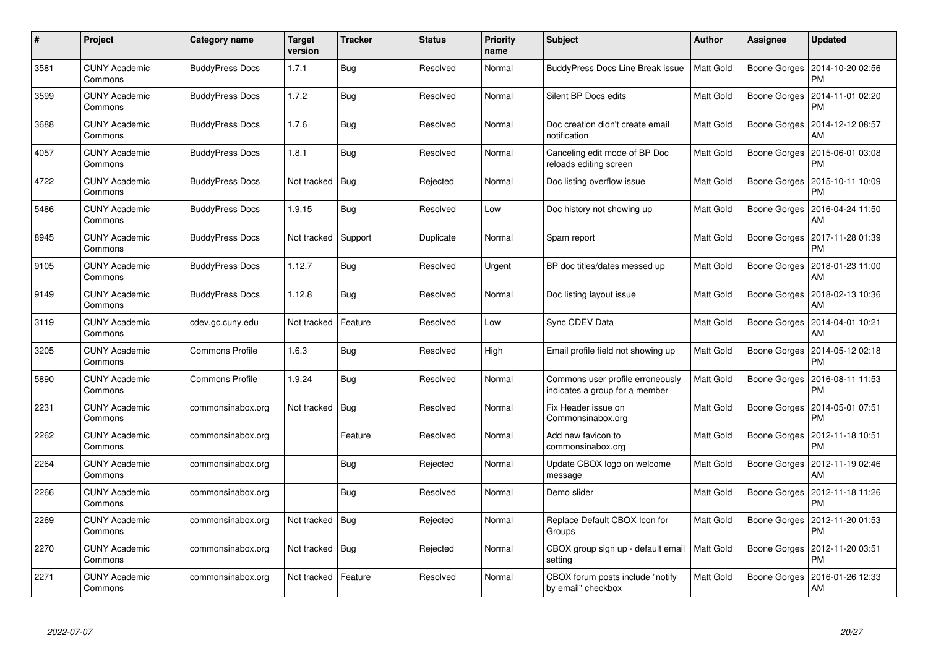| $\pmb{\#}$ | Project                         | Category name          | <b>Target</b><br>version | <b>Tracker</b> | <b>Status</b> | <b>Priority</b><br>name | <b>Subject</b>                                                     | <b>Author</b>    | Assignee            | Updated                       |
|------------|---------------------------------|------------------------|--------------------------|----------------|---------------|-------------------------|--------------------------------------------------------------------|------------------|---------------------|-------------------------------|
| 3581       | <b>CUNY Academic</b><br>Commons | <b>BuddyPress Docs</b> | 1.7.1                    | <b>Bug</b>     | Resolved      | Normal                  | BuddyPress Docs Line Break issue                                   | <b>Matt Gold</b> | Boone Gorges        | 2014-10-20 02:56<br><b>PM</b> |
| 3599       | <b>CUNY Academic</b><br>Commons | <b>BuddyPress Docs</b> | 1.7.2                    | <b>Bug</b>     | Resolved      | Normal                  | Silent BP Docs edits                                               | Matt Gold        | Boone Gorges        | 2014-11-01 02:20<br>PM        |
| 3688       | <b>CUNY Academic</b><br>Commons | <b>BuddyPress Docs</b> | 1.7.6                    | <b>Bug</b>     | Resolved      | Normal                  | Doc creation didn't create email<br>notification                   | Matt Gold        | Boone Gorges        | 2014-12-12 08:57<br>AM        |
| 4057       | <b>CUNY Academic</b><br>Commons | <b>BuddyPress Docs</b> | 1.8.1                    | <b>Bug</b>     | Resolved      | Normal                  | Canceling edit mode of BP Doc<br>reloads editing screen            | Matt Gold        | Boone Gorges        | 2015-06-01 03:08<br>PM        |
| 4722       | <b>CUNY Academic</b><br>Commons | <b>BuddyPress Docs</b> | Not tracked              | <b>Bug</b>     | Rejected      | Normal                  | Doc listing overflow issue                                         | <b>Matt Gold</b> | <b>Boone Gorges</b> | 2015-10-11 10:09<br><b>PM</b> |
| 5486       | <b>CUNY Academic</b><br>Commons | <b>BuddyPress Docs</b> | 1.9.15                   | Bug            | Resolved      | Low                     | Doc history not showing up                                         | Matt Gold        | Boone Gorges        | 2016-04-24 11:50<br>AM        |
| 8945       | <b>CUNY Academic</b><br>Commons | <b>BuddyPress Docs</b> | Not tracked              | Support        | Duplicate     | Normal                  | Spam report                                                        | Matt Gold        | Boone Gorges        | 2017-11-28 01:39<br>PM        |
| 9105       | <b>CUNY Academic</b><br>Commons | <b>BuddyPress Docs</b> | 1.12.7                   | <b>Bug</b>     | Resolved      | Urgent                  | BP doc titles/dates messed up                                      | Matt Gold        | Boone Gorges        | 2018-01-23 11:00<br>AM        |
| 9149       | <b>CUNY Academic</b><br>Commons | <b>BuddyPress Docs</b> | 1.12.8                   | Bug            | Resolved      | Normal                  | Doc listing layout issue                                           | <b>Matt Gold</b> | Boone Gorges        | 2018-02-13 10:36<br>AM        |
| 3119       | <b>CUNY Academic</b><br>Commons | cdev.gc.cuny.edu       | Not tracked              | Feature        | Resolved      | Low                     | Sync CDEV Data                                                     | <b>Matt Gold</b> | Boone Gorges        | 2014-04-01 10:21<br>AM        |
| 3205       | <b>CUNY Academic</b><br>Commons | <b>Commons Profile</b> | 1.6.3                    | <b>Bug</b>     | Resolved      | High                    | Email profile field not showing up                                 | <b>Matt Gold</b> | Boone Gorges        | 2014-05-12 02:18<br><b>PM</b> |
| 5890       | <b>CUNY Academic</b><br>Commons | <b>Commons Profile</b> | 1.9.24                   | <b>Bug</b>     | Resolved      | Normal                  | Commons user profile erroneously<br>indicates a group for a member | Matt Gold        | Boone Gorges        | 2016-08-11 11:53<br>PM        |
| 2231       | <b>CUNY Academic</b><br>Commons | commonsinabox.org      | Not tracked              | <b>Bug</b>     | Resolved      | Normal                  | Fix Header issue on<br>Commonsinabox.org                           | Matt Gold        | Boone Gorges        | 2014-05-01 07:51<br><b>PM</b> |
| 2262       | <b>CUNY Academic</b><br>Commons | commonsinabox.org      |                          | Feature        | Resolved      | Normal                  | Add new favicon to<br>commonsinabox.org                            | Matt Gold        | Boone Gorges        | 2012-11-18 10:51<br>PM        |
| 2264       | <b>CUNY Academic</b><br>Commons | commonsinabox.org      |                          | <b>Bug</b>     | Rejected      | Normal                  | Update CBOX logo on welcome<br>message                             | Matt Gold        | <b>Boone Gorges</b> | 2012-11-19 02:46<br>AM        |
| 2266       | <b>CUNY Academic</b><br>Commons | commonsinabox.org      |                          | Bug            | Resolved      | Normal                  | Demo slider                                                        | Matt Gold        | Boone Gorges        | 2012-11-18 11:26<br><b>PM</b> |
| 2269       | <b>CUNY Academic</b><br>Commons | commonsinabox.org      | Not tracked              | Bug            | Rejected      | Normal                  | Replace Default CBOX Icon for<br>Groups                            | Matt Gold        | Boone Gorges        | 2012-11-20 01:53<br><b>PM</b> |
| 2270       | <b>CUNY Academic</b><br>Commons | commonsinabox.org      | Not tracked              | Bug            | Rejected      | Normal                  | CBOX group sign up - default email<br>setting                      | <b>Matt Gold</b> | Boone Gorges        | 2012-11-20 03:51<br><b>PM</b> |
| 2271       | CUNY Academic<br>Commons        | commonsinabox.org      | Not tracked              | Feature        | Resolved      | Normal                  | CBOX forum posts include "notify<br>by email" checkbox             | Matt Gold        | Boone Gorges        | 2016-01-26 12:33<br>AM        |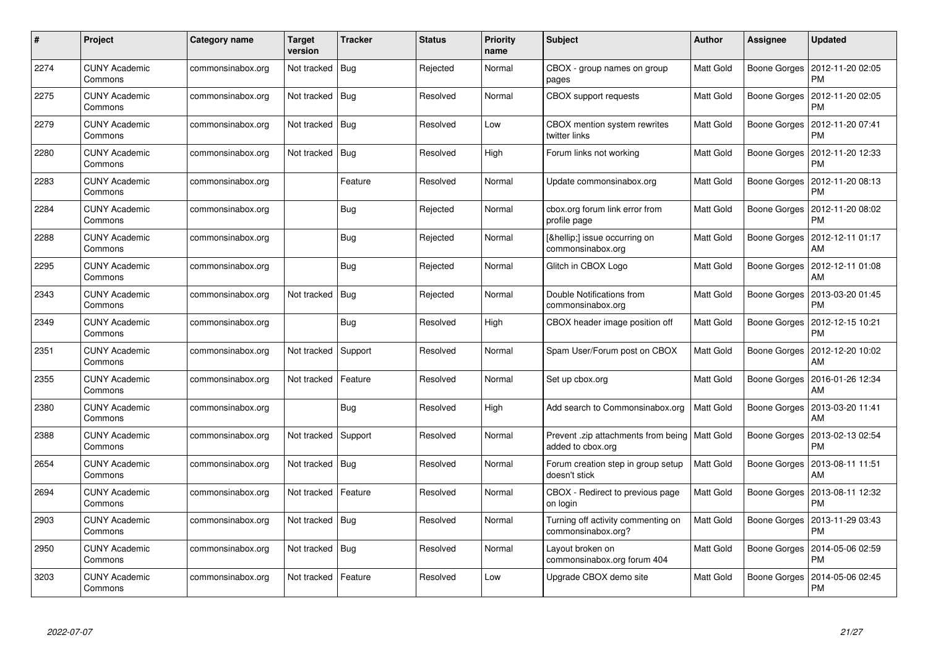| $\#$ | Project                         | Category name     | Target<br>version | <b>Tracker</b> | <b>Status</b> | <b>Priority</b><br>name | <b>Subject</b>                                                       | <b>Author</b>    | Assignee     | Updated                               |
|------|---------------------------------|-------------------|-------------------|----------------|---------------|-------------------------|----------------------------------------------------------------------|------------------|--------------|---------------------------------------|
| 2274 | <b>CUNY Academic</b><br>Commons | commonsinabox.org | Not tracked       | Bug            | Rejected      | Normal                  | CBOX - group names on group<br>pages                                 | Matt Gold        | Boone Gorges | 2012-11-20 02:05<br><b>PM</b>         |
| 2275 | <b>CUNY Academic</b><br>Commons | commonsinabox.org | Not tracked       | Bug            | Resolved      | Normal                  | <b>CBOX</b> support requests                                         | Matt Gold        | Boone Gorges | 2012-11-20 02:05<br><b>PM</b>         |
| 2279 | <b>CUNY Academic</b><br>Commons | commonsinabox.org | Not tracked       | <b>Bug</b>     | Resolved      | Low                     | CBOX mention system rewrites<br>twitter links                        | Matt Gold        | Boone Gorges | 2012-11-20 07:41<br><b>PM</b>         |
| 2280 | <b>CUNY Academic</b><br>Commons | commonsinabox.org | Not tracked       | Bug            | Resolved      | High                    | Forum links not working                                              | Matt Gold        | Boone Gorges | 2012-11-20 12:33<br>PM                |
| 2283 | <b>CUNY Academic</b><br>Commons | commonsinabox.org |                   | Feature        | Resolved      | Normal                  | Update commonsinabox.org                                             | <b>Matt Gold</b> | Boone Gorges | 2012-11-20 08:13<br><b>PM</b>         |
| 2284 | <b>CUNY Academic</b><br>Commons | commonsinabox.org |                   | Bug            | Rejected      | Normal                  | cbox.org forum link error from<br>profile page                       | Matt Gold        | Boone Gorges | 2012-11-20 08:02<br>PM                |
| 2288 | <b>CUNY Academic</b><br>Commons | commonsinabox.org |                   | <b>Bug</b>     | Rejected      | Normal                  | […] issue occurring on<br>commonsinabox.org                          | Matt Gold        | Boone Gorges | 2012-12-11 01:17<br>AM                |
| 2295 | <b>CUNY Academic</b><br>Commons | commonsinabox.org |                   | Bug            | Rejected      | Normal                  | Glitch in CBOX Logo                                                  | Matt Gold        |              | Boone Gorges   2012-12-11 01:08<br>AM |
| 2343 | <b>CUNY Academic</b><br>Commons | commonsinabox.org | Not tracked       | Bug            | Rejected      | Normal                  | Double Notifications from<br>commonsinabox.org                       | <b>Matt Gold</b> | Boone Gorges | 2013-03-20 01:45<br><b>PM</b>         |
| 2349 | <b>CUNY Academic</b><br>Commons | commonsinabox.org |                   | <b>Bug</b>     | Resolved      | High                    | CBOX header image position off                                       | Matt Gold        | Boone Gorges | 2012-12-15 10:21<br><b>PM</b>         |
| 2351 | <b>CUNY Academic</b><br>Commons | commonsinabox.org | Not tracked       | Support        | Resolved      | Normal                  | Spam User/Forum post on CBOX                                         | <b>Matt Gold</b> | Boone Gorges | 2012-12-20 10:02<br>AM                |
| 2355 | <b>CUNY Academic</b><br>Commons | commonsinabox.org | Not tracked       | Feature        | Resolved      | Normal                  | Set up cbox.org                                                      | Matt Gold        | Boone Gorges | 2016-01-26 12:34<br>AM                |
| 2380 | <b>CUNY Academic</b><br>Commons | commonsinabox.org |                   | Bug            | Resolved      | High                    | Add search to Commonsinabox.org                                      | Matt Gold        | Boone Gorges | 2013-03-20 11:41<br>AM                |
| 2388 | <b>CUNY Academic</b><br>Commons | commonsinabox.org | Not tracked       | Support        | Resolved      | Normal                  | Prevent .zip attachments from being   Matt Gold<br>added to cbox.org |                  | Boone Gorges | 2013-02-13 02:54<br>PM                |
| 2654 | <b>CUNY Academic</b><br>Commons | commonsinabox.org | Not tracked       | Bug            | Resolved      | Normal                  | Forum creation step in group setup<br>doesn't stick                  | <b>Matt Gold</b> | Boone Gorges | 2013-08-11 11:51<br>AM                |
| 2694 | <b>CUNY Academic</b><br>Commons | commonsinabox.org | Not tracked       | Feature        | Resolved      | Normal                  | CBOX - Redirect to previous page<br>on login                         | <b>Matt Gold</b> | Boone Gorges | 2013-08-11 12:32<br><b>PM</b>         |
| 2903 | <b>CUNY Academic</b><br>Commons | commonsinabox.org | Not tracked       | Bug            | Resolved      | Normal                  | Turning off activity commenting on<br>commonsinabox.org?             | <b>Matt Gold</b> | Boone Gorges | 2013-11-29 03:43<br><b>PM</b>         |
| 2950 | <b>CUNY Academic</b><br>Commons | commonsinabox.org | Not tracked       | Bug            | Resolved      | Normal                  | Layout broken on<br>commonsinabox.org forum 404                      | <b>Matt Gold</b> | Boone Gorges | 2014-05-06 02:59<br><b>PM</b>         |
| 3203 | CUNY Academic<br>Commons        | commonsinabox.org | Not tracked       | Feature        | Resolved      | Low                     | Upgrade CBOX demo site                                               | Matt Gold        | Boone Gorges | 2014-05-06 02:45<br>PM                |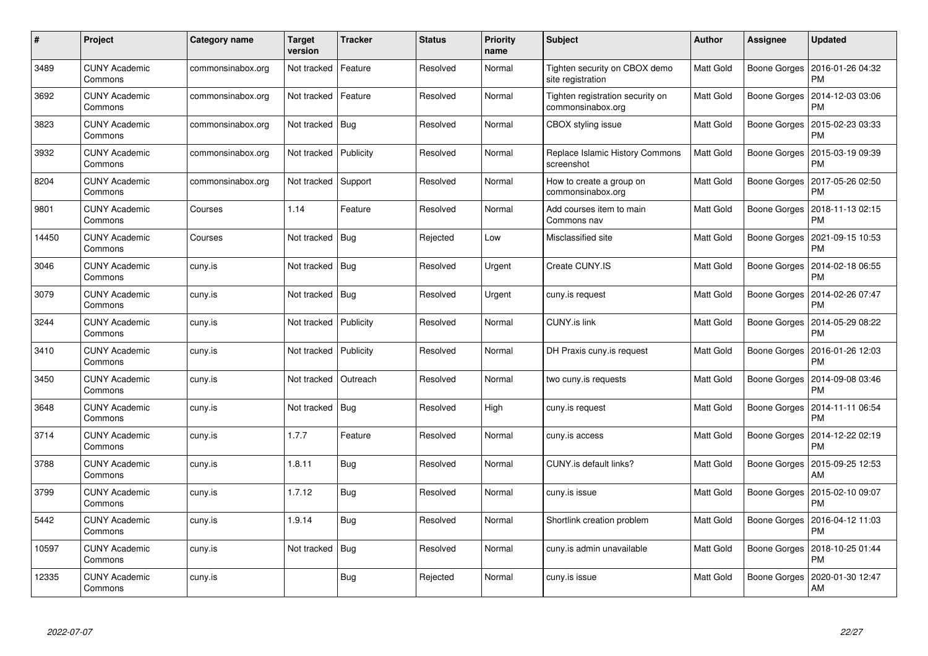| #     | Project                         | <b>Category name</b> | <b>Target</b><br>version | <b>Tracker</b> | <b>Status</b> | <b>Priority</b><br>name | <b>Subject</b>                                        | <b>Author</b>    | Assignee     | <b>Updated</b>                |
|-------|---------------------------------|----------------------|--------------------------|----------------|---------------|-------------------------|-------------------------------------------------------|------------------|--------------|-------------------------------|
| 3489  | <b>CUNY Academic</b><br>Commons | commonsinabox.org    | Not tracked              | Feature        | Resolved      | Normal                  | Tighten security on CBOX demo<br>site registration    | Matt Gold        | Boone Gorges | 2016-01-26 04:32<br><b>PM</b> |
| 3692  | <b>CUNY Academic</b><br>Commons | commonsinabox.org    | Not tracked              | Feature        | Resolved      | Normal                  | Tighten registration security on<br>commonsinabox.org | Matt Gold        | Boone Gorges | 2014-12-03 03:06<br><b>PM</b> |
| 3823  | <b>CUNY Academic</b><br>Commons | commonsinabox.org    | Not tracked              | Bug            | Resolved      | Normal                  | CBOX styling issue                                    | Matt Gold        | Boone Gorges | 2015-02-23 03:33<br><b>PM</b> |
| 3932  | <b>CUNY Academic</b><br>Commons | commonsinabox.org    | Not tracked              | Publicity      | Resolved      | Normal                  | Replace Islamic History Commons<br>screenshot         | Matt Gold        | Boone Gorges | 2015-03-19 09:39<br>PM        |
| 8204  | <b>CUNY Academic</b><br>Commons | commonsinabox.org    | Not tracked              | Support        | Resolved      | Normal                  | How to create a group on<br>commonsinabox.org         | Matt Gold        | Boone Gorges | 2017-05-26 02:50<br><b>PM</b> |
| 9801  | <b>CUNY Academic</b><br>Commons | Courses              | 1.14                     | Feature        | Resolved      | Normal                  | Add courses item to main<br>Commons nav               | Matt Gold        | Boone Gorges | 2018-11-13 02:15<br><b>PM</b> |
| 14450 | <b>CUNY Academic</b><br>Commons | Courses              | Not tracked              | Bug            | Rejected      | Low                     | Misclassified site                                    | Matt Gold        | Boone Gorges | 2021-09-15 10:53<br><b>PM</b> |
| 3046  | <b>CUNY Academic</b><br>Commons | cuny.is              | Not tracked              | Bug            | Resolved      | Urgent                  | Create CUNY.IS                                        | Matt Gold        | Boone Gorges | 2014-02-18 06:55<br><b>PM</b> |
| 3079  | <b>CUNY Academic</b><br>Commons | cuny.is              | Not tracked              | Bug            | Resolved      | Urgent                  | cuny.is request                                       | Matt Gold        | Boone Gorges | 2014-02-26 07:47<br><b>PM</b> |
| 3244  | <b>CUNY Academic</b><br>Commons | cuny.is              | Not tracked              | Publicity      | Resolved      | Normal                  | <b>CUNY.is link</b>                                   | Matt Gold        | Boone Gorges | 2014-05-29 08:22<br>PM        |
| 3410  | <b>CUNY Academic</b><br>Commons | cuny.is              | Not tracked              | Publicity      | Resolved      | Normal                  | DH Praxis cuny is request                             | Matt Gold        | Boone Gorges | 2016-01-26 12:03<br><b>PM</b> |
| 3450  | <b>CUNY Academic</b><br>Commons | cuny.is              | Not tracked              | Outreach       | Resolved      | Normal                  | two cuny is requests                                  | <b>Matt Gold</b> | Boone Gorges | 2014-09-08 03:46<br>PM        |
| 3648  | <b>CUNY Academic</b><br>Commons | cuny.is              | Not tracked              | <b>Bug</b>     | Resolved      | High                    | cuny.is request                                       | Matt Gold        | Boone Gorges | 2014-11-11 06:54<br><b>PM</b> |
| 3714  | <b>CUNY Academic</b><br>Commons | cuny.is              | 1.7.7                    | Feature        | Resolved      | Normal                  | cuny.is access                                        | Matt Gold        | Boone Gorges | 2014-12-22 02:19<br>PM        |
| 3788  | <b>CUNY Academic</b><br>Commons | cuny.is              | 1.8.11                   | Bug            | Resolved      | Normal                  | CUNY.is default links?                                | Matt Gold        | Boone Gorges | 2015-09-25 12:53<br>AM        |
| 3799  | <b>CUNY Academic</b><br>Commons | cuny.is              | 1.7.12                   | Bug            | Resolved      | Normal                  | cuny.is issue                                         | Matt Gold        | Boone Gorges | 2015-02-10 09:07<br><b>PM</b> |
| 5442  | <b>CUNY Academic</b><br>Commons | cuny.is              | 1.9.14                   | <b>Bug</b>     | Resolved      | Normal                  | Shortlink creation problem                            | Matt Gold        | Boone Gorges | 2016-04-12 11:03<br><b>PM</b> |
| 10597 | <b>CUNY Academic</b><br>Commons | cuny.is              | Not tracked              | <b>Bug</b>     | Resolved      | Normal                  | cuny.is admin unavailable                             | Matt Gold        | Boone Gorges | 2018-10-25 01:44<br>PM        |
| 12335 | CUNY Academic<br>Commons        | cuny.is              |                          | Bug            | Rejected      | Normal                  | cuny.is issue                                         | Matt Gold        | Boone Gorges | 2020-01-30 12:47<br>AM        |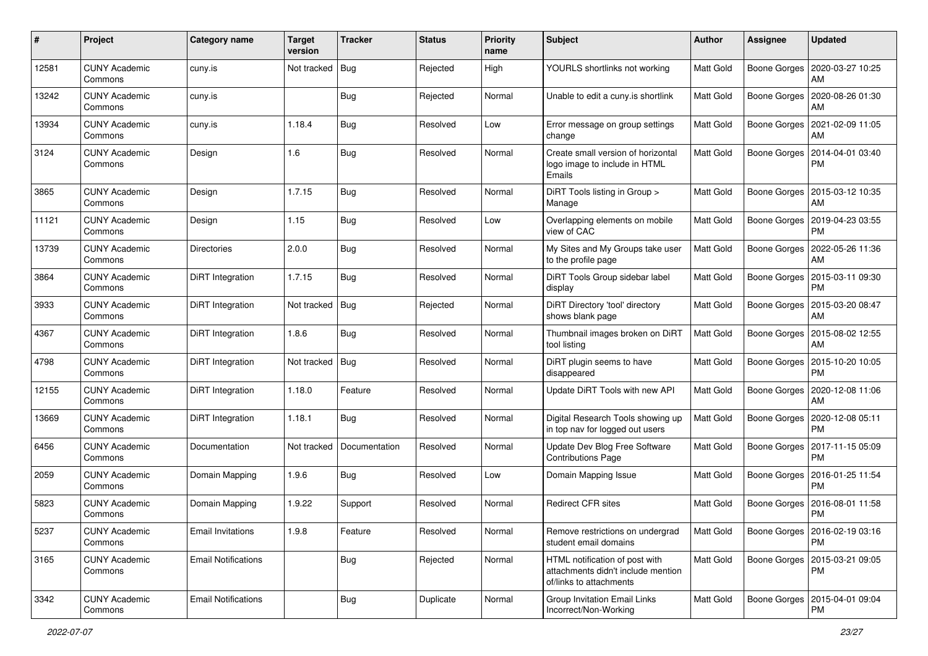| #     | Project                         | <b>Category name</b>       | <b>Target</b><br>version | <b>Tracker</b> | <b>Status</b> | <b>Priority</b><br>name | <b>Subject</b>                                                                                  | Author           | <b>Assignee</b> | <b>Updated</b>                               |
|-------|---------------------------------|----------------------------|--------------------------|----------------|---------------|-------------------------|-------------------------------------------------------------------------------------------------|------------------|-----------------|----------------------------------------------|
| 12581 | <b>CUNY Academic</b><br>Commons | cuny.is                    | Not tracked              | <b>Bug</b>     | Rejected      | High                    | YOURLS shortlinks not working                                                                   | Matt Gold        |                 | Boone Gorges   2020-03-27 10:25<br>AM        |
| 13242 | <b>CUNY Academic</b><br>Commons | cuny.is                    |                          | Bug            | Rejected      | Normal                  | Unable to edit a cuny.is shortlink                                                              | Matt Gold        | Boone Gorges    | 2020-08-26 01:30<br>AM                       |
| 13934 | <b>CUNY Academic</b><br>Commons | cuny.is                    | 1.18.4                   | Bug            | Resolved      | Low                     | Error message on group settings<br>change                                                       | <b>Matt Gold</b> | Boone Gorges    | 2021-02-09 11:05<br>AM                       |
| 3124  | <b>CUNY Academic</b><br>Commons | Design                     | 1.6                      | <b>Bug</b>     | Resolved      | Normal                  | Create small version of horizontal<br>logo image to include in HTML<br>Emails                   | Matt Gold        | Boone Gorges    | 2014-04-01 03:40<br>PM                       |
| 3865  | <b>CUNY Academic</b><br>Commons | Design                     | 1.7.15                   | <b>Bug</b>     | Resolved      | Normal                  | DiRT Tools listing in Group ><br>Manage                                                         | <b>Matt Gold</b> | Boone Gorges    | 2015-03-12 10:35<br>AM                       |
| 11121 | <b>CUNY Academic</b><br>Commons | Design                     | 1.15                     | <b>Bug</b>     | Resolved      | Low                     | Overlapping elements on mobile<br>view of CAC                                                   | Matt Gold        | Boone Gorges    | 2019-04-23 03:55<br><b>PM</b>                |
| 13739 | <b>CUNY Academic</b><br>Commons | <b>Directories</b>         | 2.0.0                    | <b>Bug</b>     | Resolved      | Normal                  | My Sites and My Groups take user<br>to the profile page                                         | Matt Gold        |                 | Boone Gorges   2022-05-26 11:36<br>AM        |
| 3864  | <b>CUNY Academic</b><br>Commons | DiRT Integration           | 1.7.15                   | Bug            | Resolved      | Normal                  | DiRT Tools Group sidebar label<br>display                                                       | <b>Matt Gold</b> | Boone Gorges    | 2015-03-11 09:30<br><b>PM</b>                |
| 3933  | <b>CUNY Academic</b><br>Commons | DiRT Integration           | Not tracked              | <b>Bug</b>     | Rejected      | Normal                  | DiRT Directory 'tool' directory<br>shows blank page                                             | <b>Matt Gold</b> | Boone Gorges    | 2015-03-20 08:47<br>AM                       |
| 4367  | <b>CUNY Academic</b><br>Commons | DiRT Integration           | 1.8.6                    | Bug            | Resolved      | Normal                  | Thumbnail images broken on DiRT<br>tool listing                                                 | <b>Matt Gold</b> | Boone Gorges    | 2015-08-02 12:55<br>AM                       |
| 4798  | <b>CUNY Academic</b><br>Commons | DiRT Integration           | Not tracked              | Bug            | Resolved      | Normal                  | DiRT plugin seems to have<br>disappeared                                                        | <b>Matt Gold</b> | Boone Gorges    | 2015-10-20 10:05<br><b>PM</b>                |
| 12155 | <b>CUNY Academic</b><br>Commons | DiRT Integration           | 1.18.0                   | Feature        | Resolved      | Normal                  | Update DiRT Tools with new API                                                                  | <b>Matt Gold</b> | Boone Gorges    | 2020-12-08 11:06<br>AM                       |
| 13669 | <b>CUNY Academic</b><br>Commons | DiRT Integration           | 1.18.1                   | <b>Bug</b>     | Resolved      | Normal                  | Digital Research Tools showing up<br>in top nav for logged out users                            | <b>Matt Gold</b> | Boone Gorges    | 2020-12-08 05:11<br><b>PM</b>                |
| 6456  | <b>CUNY Academic</b><br>Commons | Documentation              | Not tracked              | Documentation  | Resolved      | Normal                  | Update Dev Blog Free Software<br><b>Contributions Page</b>                                      | Matt Gold        | Boone Gorges    | 2017-11-15 05:09<br><b>PM</b>                |
| 2059  | <b>CUNY Academic</b><br>Commons | Domain Mapping             | 1.9.6                    | Bug            | Resolved      | Low                     | Domain Mapping Issue                                                                            | <b>Matt Gold</b> | Boone Gorges    | 2016-01-25 11:54<br><b>PM</b>                |
| 5823  | <b>CUNY Academic</b><br>Commons | Domain Mapping             | 1.9.22                   | Support        | Resolved      | Normal                  | <b>Redirect CFR sites</b>                                                                       | Matt Gold        | Boone Gorges    | 2016-08-01 11:58<br>PM                       |
| 5237  | <b>CUNY Academic</b><br>Commons | <b>Email Invitations</b>   | 1.9.8                    | Feature        | Resolved      | Normal                  | Remove restrictions on undergrad<br>student email domains                                       | <b>Matt Gold</b> |                 | Boone Gorges   2016-02-19 03:16<br><b>PM</b> |
| 3165  | <b>CUNY Academic</b><br>Commons | <b>Email Notifications</b> |                          | <b>Bug</b>     | Rejected      | Normal                  | HTML notification of post with<br>attachments didn't include mention<br>of/links to attachments | <b>Matt Gold</b> |                 | Boone Gorges   2015-03-21 09:05<br>РM        |
| 3342  | <b>CUNY Academic</b><br>Commons | <b>Email Notifications</b> |                          | <b>Bug</b>     | Duplicate     | Normal                  | <b>Group Invitation Email Links</b><br>Incorrect/Non-Working                                    | <b>Matt Gold</b> |                 | Boone Gorges   2015-04-01 09:04<br><b>PM</b> |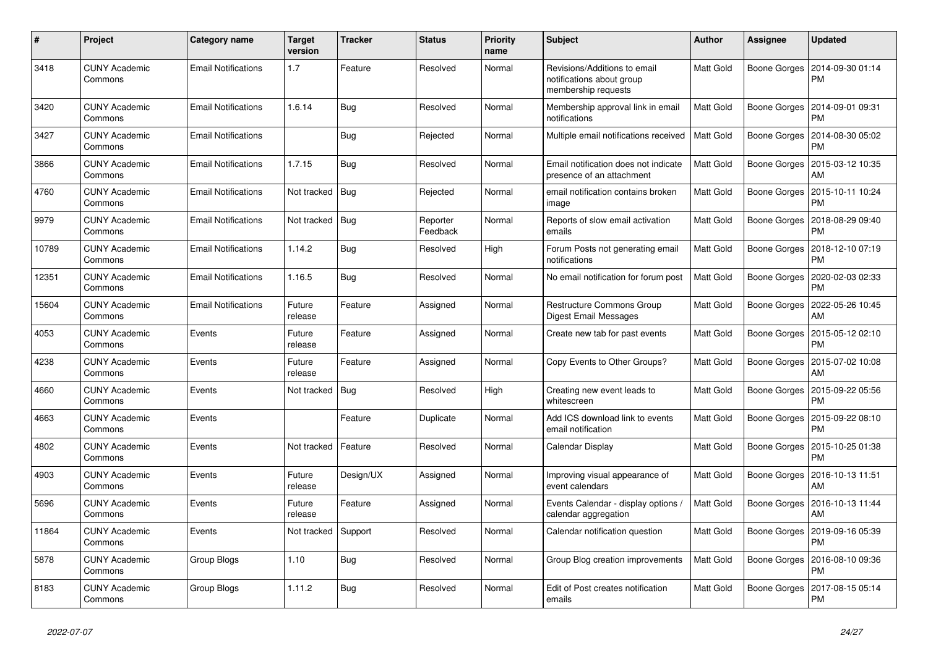| $\#$  | Project                         | Category name              | <b>Target</b><br>version | <b>Tracker</b> | <b>Status</b>        | <b>Priority</b><br>name | <b>Subject</b>                                                                   | <b>Author</b>    | <b>Assignee</b> | <b>Updated</b>                |
|-------|---------------------------------|----------------------------|--------------------------|----------------|----------------------|-------------------------|----------------------------------------------------------------------------------|------------------|-----------------|-------------------------------|
| 3418  | <b>CUNY Academic</b><br>Commons | <b>Email Notifications</b> | 1.7                      | Feature        | Resolved             | Normal                  | Revisions/Additions to email<br>notifications about group<br>membership requests | Matt Gold        | Boone Gorges    | 2014-09-30 01:14<br><b>PM</b> |
| 3420  | <b>CUNY Academic</b><br>Commons | <b>Email Notifications</b> | 1.6.14                   | Bug            | Resolved             | Normal                  | Membership approval link in email<br>notifications                               | <b>Matt Gold</b> | Boone Gorges    | 2014-09-01 09:31<br><b>PM</b> |
| 3427  | <b>CUNY Academic</b><br>Commons | <b>Email Notifications</b> |                          | Bug            | Rejected             | Normal                  | Multiple email notifications received                                            | Matt Gold        | Boone Gorges    | 2014-08-30 05:02<br><b>PM</b> |
| 3866  | <b>CUNY Academic</b><br>Commons | <b>Email Notifications</b> | 1.7.15                   | Bug            | Resolved             | Normal                  | Email notification does not indicate<br>presence of an attachment                | Matt Gold        | Boone Gorges    | 2015-03-12 10:35<br>AM        |
| 4760  | <b>CUNY Academic</b><br>Commons | <b>Email Notifications</b> | Not tracked              | Bug            | Rejected             | Normal                  | email notification contains broken<br>image                                      | Matt Gold        | Boone Gorges    | 2015-10-11 10:24<br><b>PM</b> |
| 9979  | <b>CUNY Academic</b><br>Commons | <b>Email Notifications</b> | Not tracked              | Bug            | Reporter<br>Feedback | Normal                  | Reports of slow email activation<br>emails                                       | Matt Gold        | Boone Gorges    | 2018-08-29 09:40<br><b>PM</b> |
| 10789 | <b>CUNY Academic</b><br>Commons | <b>Email Notifications</b> | 1.14.2                   | Bug            | Resolved             | High                    | Forum Posts not generating email<br>notifications                                | Matt Gold        | Boone Gorges    | 2018-12-10 07:19<br><b>PM</b> |
| 12351 | <b>CUNY Academic</b><br>Commons | <b>Email Notifications</b> | 1.16.5                   | Bug            | Resolved             | Normal                  | No email notification for forum post                                             | Matt Gold        | Boone Gorges    | 2020-02-03 02:33<br><b>PM</b> |
| 15604 | <b>CUNY Academic</b><br>Commons | <b>Email Notifications</b> | Future<br>release        | Feature        | Assigned             | Normal                  | Restructure Commons Group<br><b>Digest Email Messages</b>                        | Matt Gold        | Boone Gorges    | 2022-05-26 10:45<br>AM        |
| 4053  | <b>CUNY Academic</b><br>Commons | Events                     | Future<br>release        | Feature        | Assigned             | Normal                  | Create new tab for past events                                                   | Matt Gold        | Boone Gorges    | 2015-05-12 02:10<br><b>PM</b> |
| 4238  | <b>CUNY Academic</b><br>Commons | Events                     | Future<br>release        | Feature        | Assigned             | Normal                  | Copy Events to Other Groups?                                                     | Matt Gold        | Boone Gorges    | 2015-07-02 10:08<br>AM        |
| 4660  | <b>CUNY Academic</b><br>Commons | Events                     | Not tracked              | <b>Bug</b>     | Resolved             | High                    | Creating new event leads to<br>whitescreen                                       | Matt Gold        | Boone Gorges    | 2015-09-22 05:56<br><b>PM</b> |
| 4663  | <b>CUNY Academic</b><br>Commons | Events                     |                          | Feature        | Duplicate            | Normal                  | Add ICS download link to events<br>email notification                            | Matt Gold        | Boone Gorges    | 2015-09-22 08:10<br><b>PM</b> |
| 4802  | <b>CUNY Academic</b><br>Commons | Events                     | Not tracked              | Feature        | Resolved             | Normal                  | Calendar Display                                                                 | Matt Gold        | Boone Gorges    | 2015-10-25 01:38<br><b>PM</b> |
| 4903  | <b>CUNY Academic</b><br>Commons | Events                     | Future<br>release        | Design/UX      | Assigned             | Normal                  | Improving visual appearance of<br>event calendars                                | Matt Gold        | Boone Gorges    | 2016-10-13 11:51<br>AM        |
| 5696  | <b>CUNY Academic</b><br>Commons | Events                     | Future<br>release        | Feature        | Assigned             | Normal                  | Events Calendar - display options<br>calendar aggregation                        | Matt Gold        | Boone Gorges    | 2016-10-13 11:44<br>AM        |
| 11864 | <b>CUNY Academic</b><br>Commons | Events                     | Not tracked              | Support        | Resolved             | Normal                  | Calendar notification question                                                   | Matt Gold        | Boone Gorges    | 2019-09-16 05:39<br><b>PM</b> |
| 5878  | <b>CUNY Academic</b><br>Commons | Group Blogs                | 1.10                     | Bug            | Resolved             | Normal                  | Group Blog creation improvements                                                 | Matt Gold        | Boone Gorges    | 2016-08-10 09:36<br><b>PM</b> |
| 8183  | <b>CUNY Academic</b><br>Commons | Group Blogs                | 1.11.2                   | Bug            | Resolved             | Normal                  | Edit of Post creates notification<br>emails                                      | Matt Gold        | Boone Gorges    | 2017-08-15 05:14<br>PM        |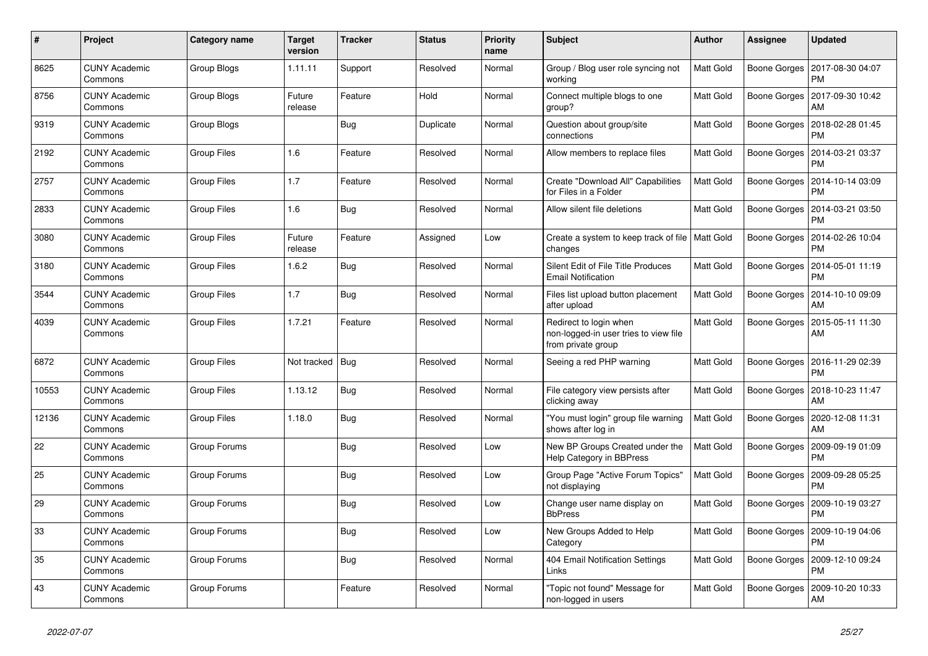| #     | Project                         | Category name      | Target<br>version | <b>Tracker</b> | <b>Status</b> | <b>Priority</b><br>name | <b>Subject</b>                                                                        | Author           | <b>Assignee</b>     | <b>Updated</b>                               |
|-------|---------------------------------|--------------------|-------------------|----------------|---------------|-------------------------|---------------------------------------------------------------------------------------|------------------|---------------------|----------------------------------------------|
| 8625  | <b>CUNY Academic</b><br>Commons | Group Blogs        | 1.11.11           | Support        | Resolved      | Normal                  | Group / Blog user role syncing not<br>working                                         | <b>Matt Gold</b> |                     | Boone Gorges   2017-08-30 04:07<br><b>PM</b> |
| 8756  | <b>CUNY Academic</b><br>Commons | Group Blogs        | Future<br>release | Feature        | Hold          | Normal                  | Connect multiple blogs to one<br>group?                                               | Matt Gold        | Boone Gorges        | 2017-09-30 10:42<br>AM                       |
| 9319  | <b>CUNY Academic</b><br>Commons | Group Blogs        |                   | Bug            | Duplicate     | Normal                  | Question about group/site<br>connections                                              | Matt Gold        | Boone Gorges        | 2018-02-28 01:45<br><b>PM</b>                |
| 2192  | <b>CUNY Academic</b><br>Commons | Group Files        | 1.6               | Feature        | Resolved      | Normal                  | Allow members to replace files                                                        | Matt Gold        | Boone Gorges        | 2014-03-21 03:37<br><b>PM</b>                |
| 2757  | <b>CUNY Academic</b><br>Commons | <b>Group Files</b> | 1.7               | Feature        | Resolved      | Normal                  | Create "Download All" Capabilities<br>for Files in a Folder                           | Matt Gold        | <b>Boone Gorges</b> | 2014-10-14 03:09<br><b>PM</b>                |
| 2833  | <b>CUNY Academic</b><br>Commons | <b>Group Files</b> | 1.6               | Bug            | Resolved      | Normal                  | Allow silent file deletions                                                           | <b>Matt Gold</b> |                     | Boone Gorges   2014-03-21 03:50<br><b>PM</b> |
| 3080  | <b>CUNY Academic</b><br>Commons | Group Files        | Future<br>release | Feature        | Assigned      | Low                     | Create a system to keep track of file   Matt Gold<br>changes                          |                  | Boone Gorges        | 2014-02-26 10:04<br><b>PM</b>                |
| 3180  | <b>CUNY Academic</b><br>Commons | <b>Group Files</b> | 1.6.2             | <b>Bug</b>     | Resolved      | Normal                  | Silent Edit of File Title Produces<br><b>Email Notification</b>                       | Matt Gold        | Boone Gorges        | 2014-05-01 11:19<br><b>PM</b>                |
| 3544  | <b>CUNY Academic</b><br>Commons | Group Files        | 1.7               | <b>Bug</b>     | Resolved      | Normal                  | Files list upload button placement<br>after upload                                    | <b>Matt Gold</b> | Boone Gorges        | 2014-10-10 09:09<br>AM                       |
| 4039  | <b>CUNY Academic</b><br>Commons | <b>Group Files</b> | 1.7.21            | Feature        | Resolved      | Normal                  | Redirect to login when<br>non-logged-in user tries to view file<br>from private group | Matt Gold        |                     | Boone Gorges   2015-05-11 11:30<br>AM        |
| 6872  | <b>CUNY Academic</b><br>Commons | <b>Group Files</b> | Not tracked       | Bug            | Resolved      | Normal                  | Seeing a red PHP warning                                                              | Matt Gold        |                     | Boone Gorges   2016-11-29 02:39<br><b>PM</b> |
| 10553 | <b>CUNY Academic</b><br>Commons | <b>Group Files</b> | 1.13.12           | Bug            | Resolved      | Normal                  | File category view persists after<br>clicking away                                    | <b>Matt Gold</b> |                     | Boone Gorges   2018-10-23 11:47<br>AM        |
| 12136 | <b>CUNY Academic</b><br>Commons | Group Files        | 1.18.0            | <b>Bug</b>     | Resolved      | Normal                  | "You must login" group file warning<br>shows after log in                             | <b>Matt Gold</b> | Boone Gorges        | 2020-12-08 11:31<br>AM                       |
| 22    | <b>CUNY Academic</b><br>Commons | Group Forums       |                   | Bug            | Resolved      | Low                     | New BP Groups Created under the<br>Help Category in BBPress                           | <b>Matt Gold</b> | Boone Gorges        | 2009-09-19 01:09<br><b>PM</b>                |
| 25    | <b>CUNY Academic</b><br>Commons | Group Forums       |                   | <b>Bug</b>     | Resolved      | Low                     | Group Page "Active Forum Topics"<br>not displaying                                    | <b>Matt Gold</b> |                     | Boone Gorges   2009-09-28 05:25<br><b>PM</b> |
| 29    | <b>CUNY Academic</b><br>Commons | Group Forums       |                   | <b>Bug</b>     | Resolved      | Low                     | Change user name display on<br><b>BbPress</b>                                         | Matt Gold        | Boone Gorges        | 2009-10-19 03:27<br><b>PM</b>                |
| 33    | <b>CUNY Academic</b><br>Commons | Group Forums       |                   | Bug            | Resolved      | Low                     | New Groups Added to Help<br>Category                                                  | Matt Gold        |                     | Boone Gorges   2009-10-19 04:06<br><b>PM</b> |
| 35    | <b>CUNY Academic</b><br>Commons | Group Forums       |                   | <b>Bug</b>     | Resolved      | Normal                  | 404 Email Notification Settings<br>Links                                              | Matt Gold        | Boone Gorges        | 2009-12-10 09:24<br><b>PM</b>                |
| 43    | <b>CUNY Academic</b><br>Commons | Group Forums       |                   | Feature        | Resolved      | Normal                  | "Topic not found" Message for<br>non-logged in users                                  | Matt Gold        | Boone Gorges        | 2009-10-20 10:33<br>AM                       |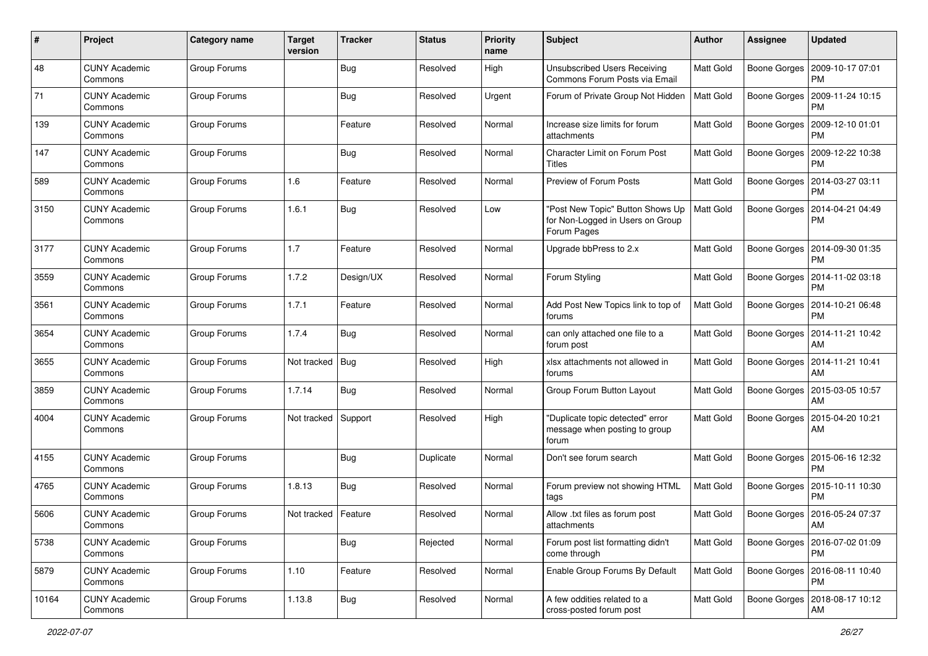| $\#$  | Project                         | <b>Category name</b> | <b>Target</b><br>version | <b>Tracker</b> | <b>Status</b> | <b>Priority</b><br>name | <b>Subject</b>                                                                      | Author           | <b>Assignee</b> | <b>Updated</b>                               |
|-------|---------------------------------|----------------------|--------------------------|----------------|---------------|-------------------------|-------------------------------------------------------------------------------------|------------------|-----------------|----------------------------------------------|
| 48    | <b>CUNY Academic</b><br>Commons | Group Forums         |                          | <b>Bug</b>     | Resolved      | High                    | <b>Unsubscribed Users Receiving</b><br>Commons Forum Posts via Email                | Matt Gold        |                 | Boone Gorges   2009-10-17 07:01<br>PМ        |
| 71    | <b>CUNY Academic</b><br>Commons | Group Forums         |                          | Bug            | Resolved      | Urgent                  | Forum of Private Group Not Hidden                                                   | <b>Matt Gold</b> | Boone Gorges    | 2009-11-24 10:15<br>PM                       |
| 139   | CUNY Academic<br>Commons        | Group Forums         |                          | Feature        | Resolved      | Normal                  | Increase size limits for forum<br>attachments                                       | <b>Matt Gold</b> | Boone Gorges    | 2009-12-10 01:01<br>PM                       |
| 147   | <b>CUNY Academic</b><br>Commons | Group Forums         |                          | Bug            | Resolved      | Normal                  | <b>Character Limit on Forum Post</b><br>Titles                                      | Matt Gold        | Boone Gorges    | 2009-12-22 10:38<br><b>PM</b>                |
| 589   | <b>CUNY Academic</b><br>Commons | Group Forums         | 1.6                      | Feature        | Resolved      | Normal                  | <b>Preview of Forum Posts</b>                                                       | <b>Matt Gold</b> | Boone Gorges    | 2014-03-27 03:11<br><b>PM</b>                |
| 3150  | <b>CUNY Academic</b><br>Commons | Group Forums         | 1.6.1                    | Bug            | Resolved      | Low                     | 'Post New Topic" Button Shows Up<br>for Non-Logged in Users on Group<br>Forum Pages | Matt Gold        | Boone Gorges    | 2014-04-21 04:49<br>PM                       |
| 3177  | <b>CUNY Academic</b><br>Commons | Group Forums         | 1.7                      | Feature        | Resolved      | Normal                  | Upgrade bbPress to 2.x                                                              | Matt Gold        |                 | Boone Gorges   2014-09-30 01:35<br><b>PM</b> |
| 3559  | <b>CUNY Academic</b><br>Commons | Group Forums         | 1.7.2                    | Design/UX      | Resolved      | Normal                  | Forum Styling                                                                       | <b>Matt Gold</b> | Boone Gorges    | 2014-11-02 03:18<br><b>PM</b>                |
| 3561  | <b>CUNY Academic</b><br>Commons | Group Forums         | 1.7.1                    | Feature        | Resolved      | Normal                  | Add Post New Topics link to top of<br>forums                                        | Matt Gold        | Boone Gorges    | 2014-10-21 06:48<br>PМ                       |
| 3654  | <b>CUNY Academic</b><br>Commons | Group Forums         | 1.7.4                    | Bug            | Resolved      | Normal                  | can only attached one file to a<br>forum post                                       | <b>Matt Gold</b> | Boone Gorges    | 2014-11-21 10:42<br>AM                       |
| 3655  | <b>CUNY Academic</b><br>Commons | Group Forums         | Not tracked              | Bug            | Resolved      | High                    | xlsx attachments not allowed in<br>forums                                           | Matt Gold        | Boone Gorges    | 2014-11-21 10:41<br>AM                       |
| 3859  | <b>CUNY Academic</b><br>Commons | Group Forums         | 1.7.14                   | <b>Bug</b>     | Resolved      | Normal                  | Group Forum Button Layout                                                           | <b>Matt Gold</b> | Boone Gorges    | 2015-03-05 10:57<br>AM                       |
| 4004  | <b>CUNY Academic</b><br>Commons | Group Forums         | Not tracked              | Support        | Resolved      | High                    | "Duplicate topic detected" error<br>message when posting to group<br>forum          | Matt Gold        | Boone Gorges    | 2015-04-20 10:21<br>AM                       |
| 4155  | <b>CUNY Academic</b><br>Commons | Group Forums         |                          | <b>Bug</b>     | Duplicate     | Normal                  | Don't see forum search                                                              | Matt Gold        | Boone Gorges    | 2015-06-16 12:32<br><b>PM</b>                |
| 4765  | <b>CUNY Academic</b><br>Commons | Group Forums         | 1.8.13                   | Bug            | Resolved      | Normal                  | Forum preview not showing HTML<br>tags                                              | <b>Matt Gold</b> | Boone Gorges    | 2015-10-11 10:30<br><b>PM</b>                |
| 5606  | <b>CUNY Academic</b><br>Commons | Group Forums         | Not tracked              | Feature        | Resolved      | Normal                  | Allow .txt files as forum post<br>attachments                                       | <b>Matt Gold</b> |                 | Boone Gorges   2016-05-24 07:37<br>AM        |
| 5738  | <b>CUNY Academic</b><br>Commons | Group Forums         |                          | <b>Bug</b>     | Rejected      | Normal                  | Forum post list formatting didn't<br>come through                                   | Matt Gold        |                 | Boone Gorges   2016-07-02 01:09<br><b>PM</b> |
| 5879  | <b>CUNY Academic</b><br>Commons | Group Forums         | 1.10                     | Feature        | Resolved      | Normal                  | Enable Group Forums By Default                                                      | Matt Gold        |                 | Boone Gorges   2016-08-11 10:40<br><b>PM</b> |
| 10164 | <b>CUNY Academic</b><br>Commons | Group Forums         | 1.13.8                   | <b>Bug</b>     | Resolved      | Normal                  | A few oddities related to a<br>cross-posted forum post                              | <b>Matt Gold</b> |                 | Boone Gorges   2018-08-17 10:12<br>AM        |